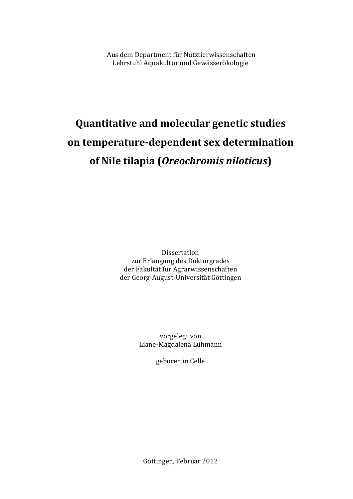Aus dem Department für Nutztierwissenschaften Lehrstuhl Aquakultur und Gewässerökologie

# **Quantitative and molecular genetic studies on temperature-dependent sex determination of Nile tilapia (***Oreochromis niloticus***)**

Dissertation zur Erlangung des Doktorgrades der Fakultät für Agrarwissenschaften der Georg-August-Universität Göttingen

> vorgelegt von Liane-Magdalena Lühmann

> > geboren in Celle

Göttingen, Februar 2012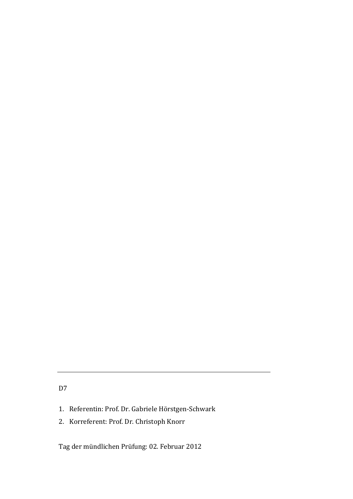# D7

- 1. Referentin: Prof. Dr. Gabriele Hörstgen-Schwark
- 2. Korreferent: Prof. Dr. Christoph Knorr

Tag der mündlichen Prüfung: 02. Februar 2012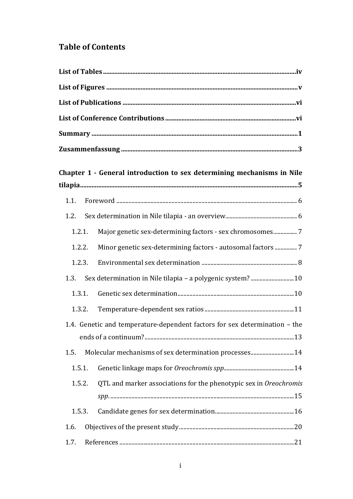# **Table of Contents**

|        | Chapter 1 - General introduction to sex determining mechanisms in Nile     |
|--------|----------------------------------------------------------------------------|
|        |                                                                            |
|        |                                                                            |
| 1.2.   |                                                                            |
| 1.2.1. |                                                                            |
| 1.2.2. | Minor genetic sex-determining factors - autosomal factors  7               |
| 1.2.3. |                                                                            |
| 1.3.   | Sex determination in Nile tilapia - a polygenic system?10                  |
|        |                                                                            |
| 1.3.2. |                                                                            |
|        | 1.4. Genetic and temperature-dependent factors for sex determination - the |
|        |                                                                            |
| 1.5.   | Molecular mechanisms of sex determination processes14                      |
| 1.5.1. |                                                                            |
| 1.5.2. | QTL and marker associations for the phenotypic sex in Oreochromis          |
| 1.5.3. |                                                                            |
| 1.6.   |                                                                            |
| 1.7.   |                                                                            |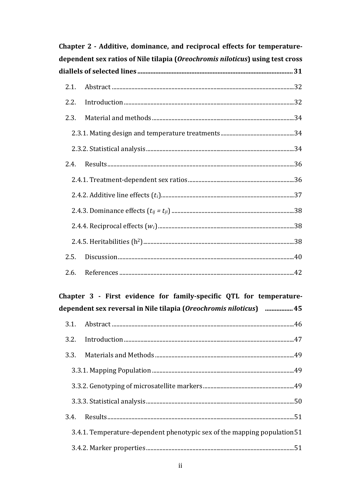| Chapter 2 - Additive, dominance, and reciprocal effects for temperature- |                                                                               |  |  |  |  |
|--------------------------------------------------------------------------|-------------------------------------------------------------------------------|--|--|--|--|
|                                                                          | dependent sex ratios of Nile tilapia (Oreochromis niloticus) using test cross |  |  |  |  |
|                                                                          |                                                                               |  |  |  |  |
| 2.1.                                                                     |                                                                               |  |  |  |  |
| 2.2.                                                                     |                                                                               |  |  |  |  |
| 2.3.                                                                     |                                                                               |  |  |  |  |
|                                                                          |                                                                               |  |  |  |  |
|                                                                          |                                                                               |  |  |  |  |
| 2.4.                                                                     |                                                                               |  |  |  |  |
|                                                                          |                                                                               |  |  |  |  |
|                                                                          |                                                                               |  |  |  |  |
|                                                                          |                                                                               |  |  |  |  |
|                                                                          |                                                                               |  |  |  |  |
|                                                                          |                                                                               |  |  |  |  |
| 2.5.                                                                     |                                                                               |  |  |  |  |
|                                                                          |                                                                               |  |  |  |  |

# Chapter 3 - First evidence for family-specific QTL for temperaturedependent sex reversal in Nile tilapia (Oreochromis niloticus) ................. 45

| 3.4.1. Temperature-dependent phenotypic sex of the mapping population 51 |  |  |  |
|--------------------------------------------------------------------------|--|--|--|
|                                                                          |  |  |  |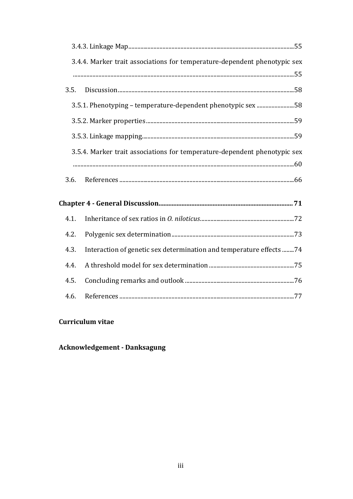|      | 3.4.4. Marker trait associations for temperature-dependent phenotypic sex |  |
|------|---------------------------------------------------------------------------|--|
|      |                                                                           |  |
| 3.5. |                                                                           |  |
|      | 3.5.1. Phenotyping - temperature-dependent phenotypic sex 58              |  |
|      |                                                                           |  |
|      |                                                                           |  |
|      | 3.5.4. Marker trait associations for temperature-dependent phenotypic sex |  |
|      |                                                                           |  |
| 3.6. |                                                                           |  |
|      |                                                                           |  |
| 4.1. |                                                                           |  |
| 4.2. |                                                                           |  |
| 4.3. | Interaction of genetic sex determination and temperature effects 74       |  |
| 4.4. |                                                                           |  |
| 4.5. |                                                                           |  |
|      |                                                                           |  |

# Curriculum vitae

# **Acknowledgement - Danksagung**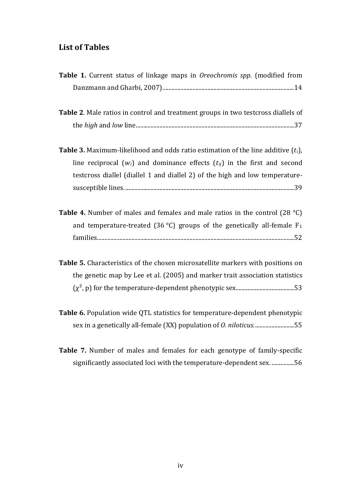# <span id="page-5-0"></span>**List of Tables**

| Table 1. Current status of linkage maps in Oreochromis spp. (modified from                   |
|----------------------------------------------------------------------------------------------|
|                                                                                              |
| Table 2. Male ratios in control and treatment groups in two testcross diallels of            |
|                                                                                              |
| <b>Table 3.</b> Maximum-likelihood and odds ratio estimation of the line additive $(t_i)$ ,  |
| line reciprocal $(w_i)$ and dominance effects $(t_{ij})$ in the first and second             |
| testcross diallel (diallel 1 and diallel 2) of the high and low temperature-                 |
|                                                                                              |
| <b>Table 4.</b> Number of males and females and male ratios in the control (28 $^{\circ}$ C) |
| and temperature-treated (36 °C) groups of the genetically all-female $F_1$                   |
|                                                                                              |
| Table 5. Characteristics of the chosen microsatellite markers with positions on              |
| the genetic map by Lee et al. (2005) and marker trait association statistics                 |
|                                                                                              |
| Table 6. Population wide QTL statistics for temperature-dependent phenotypic                 |
| sex in a genetically all-female (XX) population of <i>O. niloticus.</i> 55                   |
| <b>THE MICLO ICLO</b> I CONTROL                                                              |

**Table 7.** [Number of males and females for each genotype of family-specific](#page-63-0)  [significantly associated loci with the temperature-dependent sex.](#page-63-0) ...............56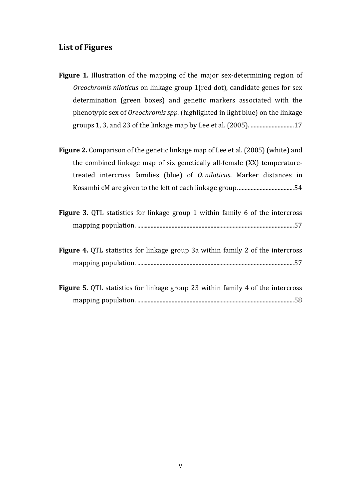# <span id="page-6-0"></span>**List of Figures**

- **Figure 1.** [Illustration of the mapping of the major sex-determining region of](#page-24-0)  *Oreochromis niloticus* [on linkage group 1\(red dot\), candidate genes for sex](#page-24-0)  [determination \(green boxes\) and genetic markers associated with the](#page-24-0)  phenotypic sex of *Oreochromis spp*[. \(highlighted in light blue\) on](#page-24-0) the linkage [groups 1, 3, and 23 of the linkage map by Lee et al. \(2005\).](#page-24-0) .............................17
- **Figure 2.** Comparison of the genetic linkage map of Lee et al. (2005) (white) and the combined linkage map of six genetically all-female (XX) temperaturetreated intercross families (blue) of *O. niloticus*. Marker distances in Kosambi cM are given to the left of each linkage group. .....................................54
- **Figure 3.** OTL statistics for linkage group 1 within family 6 of the intercross mapping population. [.........................................................................................................57](#page-64-0)
- **Figure 4.** [QTL statistics for linkage group 3a within family 2 of the intercross](#page-64-1)  mapping population. [.........................................................................................................57](#page-64-1)
- **Figure 5.** QTL statistics for linkage group 23 within family 4 of the intercross mapping population. [.........................................................................................................58](#page-65-3)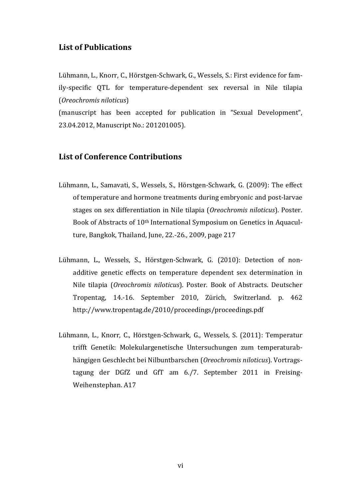## <span id="page-7-0"></span>**List of Publications**

Lühmann, L., Knorr, C., Hörstgen-Schwark, G., Wessels, S.: First evidence for family-specific QTL for temperature-dependent sex reversal in Nile tilapia (*Oreochromis niloticus*)

(manuscript has been accepted for publication in "Sexual Development", 23.04.2012, Manuscript No.: 201201005).

## <span id="page-7-1"></span>**List of Conference Contributions**

- Lühmann, L., Samavati, S., Wessels, S., Hörstgen-Schwark, G. (2009): The effect of temperature and hormone treatments during embryonic and post-larvae stages on sex differentiation in Nile tilapia (*Oreochromis niloticus*). Poster. Book of Abstracts of 10th International Symposium on Genetics in Aquaculture, Bangkok, Thailand, June, 22.-26., 2009, page 217
- Lühmann, L., Wessels, S., Hörstgen-Schwark, G. (2010): Detection of nonadditive genetic effects on temperature dependent sex determination in Nile tilapia (*Oreochromis niloticus*). Poster. Book of Abstracts. Deutscher Tropentag, 14.-16. September 2010, Zürich, Switzerland. p. 462 <http://www.tropentag.de/2010/proceedings/proceedings.pdf>
- Lühmann, L., Knorr, C., Hörstgen-Schwark, G., Wessels, S. (2011): Temperatur trifft Genetik: Molekulargenetische Untersuchungen zum temperaturabhängigen Geschlecht bei Nilbuntbarschen (*Oreochromis niloticus*). Vortragstagung der DGfZ und GfT am 6./7. September 2011 in Freising-Weihenstephan. A17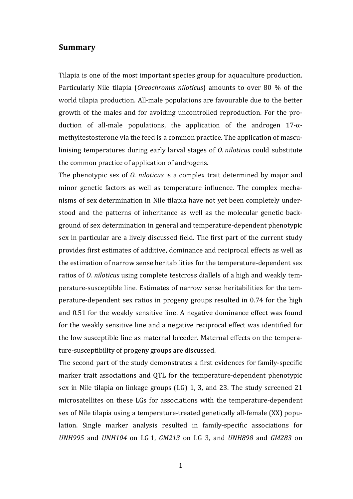## <span id="page-8-0"></span>**Summary**

Tilapia is one of the most important species group for aquaculture production. Particularly Nile tilapia (*Oreochromis niloticus*) amounts to over 80 % of the world tilapia production. All-male populations are favourable due to the better growth of the males and for avoiding uncontrolled reproduction. For the production of all-male populations, the application of the androgen 17-αmethyltestosterone via the feed is a common practice. The application of masculinising temperatures during early larval stages of *O. niloticus* could substitute the common practice of application of androgens.

The phenotypic sex of *O. niloticus* is a complex trait determined by major and minor genetic factors as well as temperature influence. The complex mechanisms of sex determination in Nile tilapia have not yet been completely understood and the patterns of inheritance as well as the molecular genetic background of sex determination in general and temperature-dependent phenotypic sex in particular are a lively discussed field. The first part of the current study provides first estimates of additive, dominance and reciprocal effects as well as the estimation of narrow sense heritabilities for the temperature-dependent sex ratios of *O. niloticus* using complete testcross diallels of a high and weakly temperature-susceptible line. Estimates of narrow sense heritabilities for the temperature-dependent sex ratios in progeny groups resulted in 0.74 for the high and 0.51 for the weakly sensitive line. A negative dominance effect was found for the weakly sensitive line and a negative reciprocal effect was identified for the low susceptible line as maternal breeder. Maternal effects on the temperature-susceptibility of progeny groups are discussed.

The second part of the study demonstrates a first evidences for family-specific marker trait associations and QTL for the temperature-dependent phenotypic sex in Nile tilapia on linkage groups (LG) 1, 3, and 23. The study screened 21 microsatellites on these LGs for associations with the temperature-dependent sex of Nile tilapia using a temperature-treated genetically all-female (XX) population. Single marker analysis resulted in family-specific associations for *UNH995* and *UNH104* on LG 1, *GM213* on LG 3, and *UNH898* and *GM283* on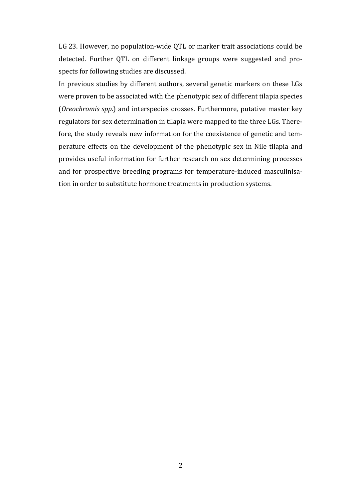LG 23. However, no population-wide QTL or marker trait associations could be detected. Further QTL on different linkage groups were suggested and prospects for following studies are discussed.

In previous studies by different authors, several genetic markers on these LGs were proven to be associated with the phenotypic sex of different tilapia species (*Oreochromis spp*.) and interspecies crosses. Furthermore, putative master key regulators for sex determination in tilapia were mapped to the three LGs. Therefore, the study reveals new information for the coexistence of genetic and temperature effects on the development of the phenotypic sex in Nile tilapia and provides useful information for further research on sex determining processes and for prospective breeding programs for temperature-induced masculinisation in order to substitute hormone treatments in production systems.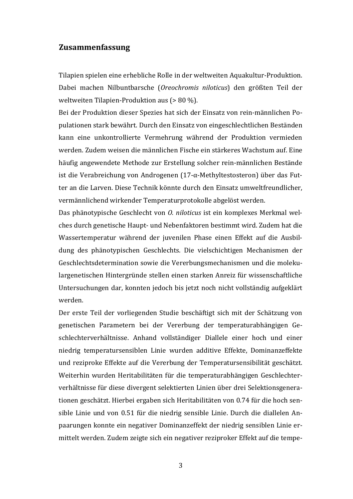## <span id="page-10-0"></span>**Zusammenfassung**

Tilapien spielen eine erhebliche Rolle in der weltweiten Aquakultur-Produktion. Dabei machen Nilbuntbarsche (*Oreochromis niloticus*) den größten Teil der weltweiten Tilapien-Produktion aus (> 80 %).

Bei der Produktion dieser Spezies hat sich der Einsatz von rein-männlichen Populationen stark bewährt. Durch den Einsatz von eingeschlechtlichen Beständen kann eine unkontrollierte Vermehrung während der Produktion vermieden werden. Zudem weisen die männlichen Fische ein stärkeres Wachstum auf. Eine häufig angewendete Methode zur Erstellung solcher rein-männlichen Bestände ist die Verabreichung von Androgenen (17-α-Methyltestosteron) über das Futter an die Larven. Diese Technik könnte durch den Einsatz umweltfreundlicher, vermännlichend wirkender Temperaturprotokolle abgelöst werden.

Das phänotypische Geschlecht von *O. niloticus* ist ein komplexes Merkmal welches durch genetische Haupt- und Nebenfaktoren bestimmt wird. Zudem hat die Wassertemperatur während der juvenilen Phase einen Effekt auf die Ausbildung des phänotypischen Geschlechts. Die vielschichtigen Mechanismen der Geschlechtsdetermination sowie die Vererbungsmechanismen und die molekulargenetischen Hintergründe stellen einen starken Anreiz für wissenschaftliche Untersuchungen dar, konnten jedoch bis jetzt noch nicht vollständig aufgeklärt werden.

Der erste Teil der vorliegenden Studie beschäftigt sich mit der Schätzung von genetischen Parametern bei der Vererbung der temperaturabhängigen Geschlechterverhältnisse. Anhand vollständiger Diallele einer hoch und einer niedrig temperatursensiblen Linie wurden additive Effekte, Dominanzeffekte und reziproke Effekte auf die Vererbung der Temperatursensibilität geschätzt. Weiterhin wurden Heritabilitäten für die temperaturabhängigen Geschlechterverhältnisse für diese divergent selektierten Linien über drei Selektionsgenerationen geschätzt. Hierbei ergaben sich Heritabilitäten von 0.74 für die hoch sensible Linie und von 0.51 für die niedrig sensible Linie. Durch die diallelen Anpaarungen konnte ein negativer Dominanzeffekt der niedrig sensiblen Linie ermittelt werden. Zudem zeigte sich ein negativer reziproker Effekt auf die tempe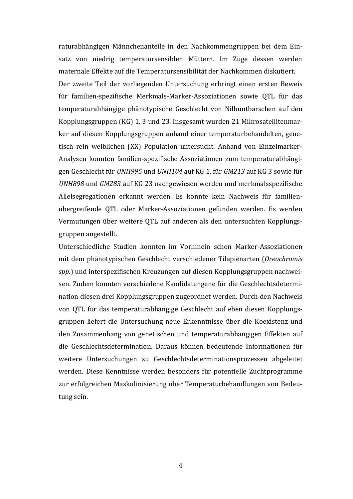raturabhängigen Männchenanteile in den Nachkommengruppen bei dem Einsatz von niedrig temperatursensiblen Müttern. Im Zuge dessen werden maternale Effekte auf die Temperatursensibilität der Nachkommen diskutiert. Der zweite Teil der vorliegenden Untersuchung erbringt einen ersten Beweis für familien-spezifische Merkmals-Marker-Assoziationen sowie QTL für das temperaturabhängige phänotypische Geschlecht von Nilbuntbarschen auf den Kopplungsgruppen (KG) 1, 3 und 23. Insgesamt wurden 21 Mikrosatellitenmarker auf diesen Kopplungsgruppen anhand einer temperaturbehandelten, genetisch rein weiblichen (XX) Population untersucht. Anhand von Einzelmarker-Analysen konnten familien-spezifische Assoziationen zum temperaturabhängigen Geschlecht für *UNH995* und *UNH104* auf KG 1, für *GM213* auf KG 3 sowie für *UNH898* und *GM283* auf KG 23 nachgewiesen werden und merkmalsspezifische Allelsegregationen erkannt werden. Es konnte kein Nachweis für familienübergreifende QTL oder Marker-Assoziationen gefunden werden. Es werden Vermutungen über weitere QTL auf anderen als den untersuchten Kopplungsgruppen angestellt.

Unterschiedliche Studien konnten im Vorhinein schon Marker-Assoziationen mit dem phänotypischen Geschlecht verschiedener Tilapienarten (*Oreochromis spp*.) und interspezifischen Kreuzungen auf diesen Kopplungsgruppen nachweisen. Zudem konnten verschiedene Kandidatengene für die Geschlechtsdetermination diesen drei Kopplungsgruppen zugeordnet werden. Durch den Nachweis von QTL für das temperaturabhängige Geschlecht auf eben diesen Kopplungsgruppen liefert die Untersuchung neue Erkenntnisse über die Koexistenz und den Zusammenhang von genetischen und temperaturabhängigen Effekten auf die Geschlechtsdetermination. Daraus können bedeutende Informationen für weitere Untersuchungen zu Geschlechtsdeterminationsprozessen abgeleitet werden. Diese Kenntnisse werden besonders für potentielle Zuchtprogramme zur erfolgreichen Maskulinisierung über Temperaturbehandlungen von Bedeutung sein.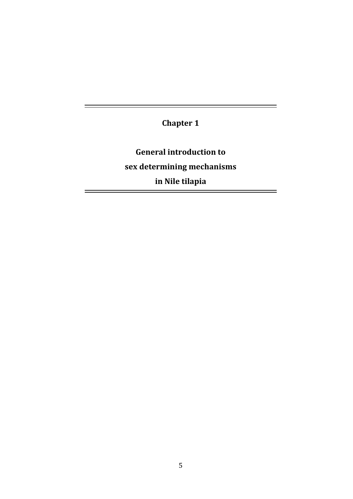**Chapter 1** 

 $=$ 

 $\equiv$ 

<span id="page-12-0"></span>**General introduction to sex determining mechanisms in Nile tilapia**

 $\equiv$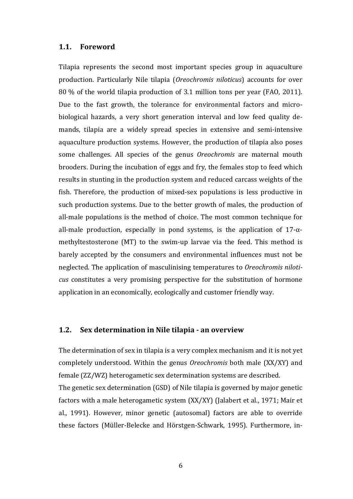## <span id="page-13-0"></span>**1.1. Foreword**

Tilapia represents the second most important species group in aquaculture production. Particularly Nile tilapia (*Oreochromis niloticus*) accounts for over 80 % of the world tilapia production of 3.1 million tons per year (FAO, 2011). Due to the fast growth, the tolerance for environmental factors and microbiological hazards, a very short generation interval and low feed quality demands, tilapia are a widely spread species in extensive and semi-intensive aquaculture production systems. However, the production of tilapia also poses some challenges. All species of the genus *Oreochromis* are maternal mouth brooders. During the incubation of eggs and fry, the females stop to feed which results in stunting in the production system and reduced carcass weights of the fish. Therefore, the production of mixed-sex populations is less productive in such production systems. Due to the better growth of males, the production of all-male populations is the method of choice. The most common technique for all-male production, especially in pond systems, is the application of  $17-\alpha$ methyltestosterone (MT) to the swim-up larvae via the feed. This method is barely accepted by the consumers and environmental influences must not be neglected. The application of masculinising temperatures to *Oreochromis niloticus* constitutes a very promising perspective for the substitution of hormone application in an economically, ecologically and customer friendly way.

## <span id="page-13-1"></span>**1.2. Sex determination in Nile tilapia - an overview**

The determination of sex in tilapia is a very complex mechanism and it is not yet completely understood. Within the genus *Oreochromis* both male (XX/XY) and female (ZZ/WZ) heterogametic sex determination systems are described. The genetic sex determination (GSD) of Nile tilapia is governed by major genetic factors with a male heterogametic system (XX/XY) (Jalabert et al., 1971; Mair et al., 1991). However, minor genetic (autosomal) factors are able to override these factors (Müller-Belecke and Hörstgen-Schwark, 1995). Furthermore, in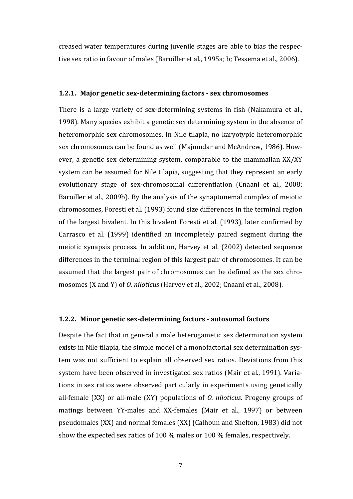creased water temperatures during juvenile stages are able to bias the respective sex ratio in favour of males (Baroiller et al., 1995a; b; Tessema et al., 2006).

#### <span id="page-14-0"></span>**1.2.1. Major genetic sex-determining factors - sex chromosomes**

There is a large variety of sex-determining systems in fish (Nakamura et al., 1998). Many species exhibit a genetic sex determining system in the absence of heteromorphic sex chromosomes. In Nile tilapia, no karyotypic heteromorphic sex chromosomes can be found as well (Majumdar and McAndrew, 1986). However, a genetic sex determining system, comparable to the mammalian XX/XY system can be assumed for Nile tilapia, suggesting that they represent an early evolutionary stage of sex-chromosomal differentiation (Cnaani et al., 2008; Baroiller et al., 2009b). By the analysis of the synaptonemal complex of meiotic chromosomes, Foresti et al. (1993) found size differences in the terminal region of the largest bivalent. In this bivalent Foresti et al. (1993), later confirmed by Carrasco et al. (1999) identified an incompletely paired segment during the meiotic synapsis process. In addition, Harvey et al. (2002) detected sequence differences in the terminal region of this largest pair of chromosomes. It can be assumed that the largest pair of chromosomes can be defined as the sex chromosomes (X and Y) of *O. niloticus* (Harvey et al., 2002; Cnaani et al., 2008).

#### <span id="page-14-1"></span>**1.2.2. Minor genetic sex-determining factors - autosomal factors**

Despite the fact that in general a male heterogametic sex determination system exists in Nile tilapia, the simple model of a monofactorial sex determination system was not sufficient to explain all observed sex ratios. Deviations from this system have been observed in investigated sex ratios (Mair et al., 1991). Variations in sex ratios were observed particularly in experiments using genetically all-female (XX) or all-male (XY) populations of *O. niloticus*. Progeny groups of matings between YY-males and XX-females (Mair et al., 1997) or between pseudomales (XX) and normal females (XX) (Calhoun and Shelton, 1983) did not show the expected sex ratios of 100 % males or 100 % females, respectively.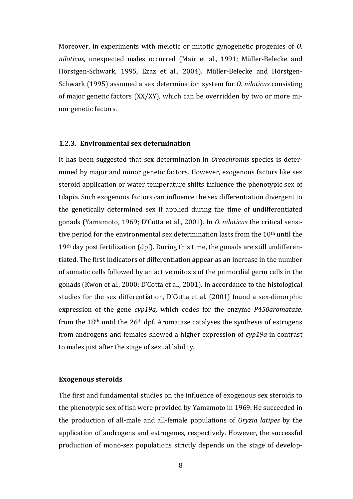Moreover, in experiments with meiotic or mitotic gynogenetic progenies of *O. niloticus*, unexpected males occurred (Mair et al., 1991; Müller-Belecke and Hörstgen-Schwark, 1995, Ezaz et al., 2004). Müller-Belecke and Hörstgen-Schwark (1995) assumed a sex determination system for *O. niloticus* consisting of major genetic factors (XX/XY), which can be overridden by two or more minor genetic factors.

#### <span id="page-15-0"></span>**1.2.3. Environmental sex determination**

It has been suggested that sex determination in *Oreochromis* species is determined by major and minor genetic factors. However, exogenous factors like sex steroid application or water temperature shifts influence the phenotypic sex of tilapia. Such exogenous factors can influence the sex differentiation divergent to the genetically determined sex if applied during the time of undifferentiated gonads (Yamamoto, 1969; D'Cotta et al., 2001). In *O. niloticus* the critical sensitive period for the environmental sex determination lasts from the 10<sup>th</sup> until the 19th day post fertilization (dpf). During this time, the gonads are still undifferentiated. The first indicators of differentiation appear as an increase in the number of somatic cells followed by an active mitosis of the primordial germ cells in the gonads (Kwon et al., 2000; D'Cotta et al., 2001). In accordance to the histological studies for the sex differentiation, D'Cotta et al. (2001) found a sex-dimorphic expression of the gene *cyp19a,* which codes for the enzyme *P450aromatase,* from the 18th until the 26th dpf. Aromatase catalyses the synthesis of estrogens from androgens and females showed a higher expression of *cyp19a* in contrast to males just after the stage of sexual lability.

#### **Exogenous steroids**

The first and fundamental studies on the influence of exogenous sex steroids to the phenotypic sex of fish were provided by Yamamoto in 1969. He succeeded in the production of all-male and all-female populations of *Oryzia latipes* by the application of androgens and estrogenes, respectively. However, the successful production of mono-sex populations strictly depends on the stage of develop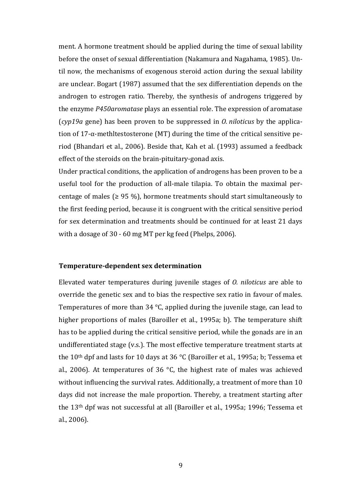ment. A hormone treatment should be applied during the time of sexual lability before the onset of sexual differentiation (Nakamura and Nagahama, 1985). Until now, the mechanisms of exogenous steroid action during the sexual lability are unclear. Bogart (1987) assumed that the sex differentiation depends on the androgen to estrogen ratio. Thereby, the synthesis of androgens triggered by the enzyme *P450aromatase* plays an essential role. The expression of aromatase (*cyp19a* gene) has been proven to be suppressed in *O. niloticus* by the application of 17- $\alpha$ -methltestosterone (MT) during the time of the critical sensitive period (Bhandari et al., 2006). Beside that, Kah et al. (1993) assumed a feedback effect of the steroids on the brain-pituitary-gonad axis.

Under practical conditions, the application of androgens has been proven to be a useful tool for the production of all-male tilapia. To obtain the maximal percentage of males ( $\geq$  95 %), hormone treatments should start simultaneously to the first feeding period, because it is congruent with the critical sensitive period for sex determination and treatments should be continued for at least 21 days with a dosage of 30 - 60 mg MT per kg feed (Phelps, 2006).

#### **Temperature-dependent sex determination**

Elevated water temperatures during juvenile stages of *O. niloticus* are able to override the genetic sex and to bias the respective sex ratio in favour of males. Temperatures of more than 34 °C, applied during the juvenile stage, can lead to higher proportions of males (Baroiller et al., 1995a; b). The temperature shift has to be applied during the critical sensitive period, while the gonads are in an undifferentiated stage (v.s.). The most effective temperature treatment starts at the  $10<sup>th</sup>$  dpf and lasts for 10 days at 36 °C (Baroiller et al., 1995a; b; Tessema et al., 2006). At temperatures of 36 °C, the highest rate of males was achieved without influencing the survival rates. Additionally, a treatment of more than 10 days did not increase the male proportion. Thereby, a treatment starting after the 13th dpf was not successful at all (Baroiller et al., 1995a; 1996; Tessema et al., 2006).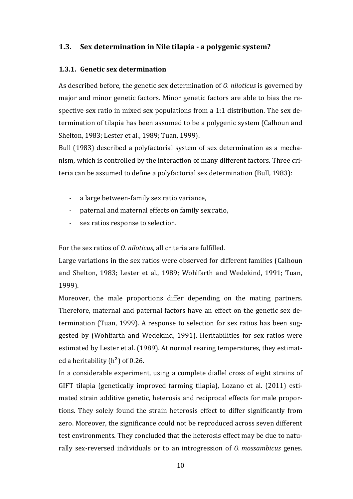## <span id="page-17-0"></span>**1.3. Sex determination in Nile tilapia - a polygenic system?**

## <span id="page-17-1"></span>**1.3.1. Genetic sex determination**

As described before, the genetic sex determination of *O. niloticus* is governed by major and minor genetic factors. Minor genetic factors are able to bias the respective sex ratio in mixed sex populations from a 1:1 distribution. The sex determination of tilapia has been assumed to be a polygenic system (Calhoun and Shelton, 1983; Lester et al., 1989; Tuan, 1999).

Bull (1983) described a polyfactorial system of sex determination as a mechanism, which is controlled by the interaction of many different factors. Three criteria can be assumed to define a polyfactorial sex determination (Bull, 1983):

- a large between-family sex ratio variance,
- paternal and maternal effects on family sex ratio,
- sex ratios response to selection.

For the sex ratios of *O. niloticus*, all criteria are fulfilled.

Large variations in the sex ratios were observed for different families (Calhoun and Shelton, 1983; Lester et al., 1989; Wohlfarth and Wedekind, 1991; Tuan, 1999).

Moreover, the male proportions differ depending on the mating partners. Therefore, maternal and paternal factors have an effect on the genetic sex determination (Tuan, 1999). A response to selection for sex ratios has been suggested by (Wohlfarth and Wedekind, 1991). Heritabilities for sex ratios were estimated by Lester et al. (1989). At normal rearing temperatures, they estimated a heritability  $(h^2)$  of 0.26.

In a considerable experiment, using a complete diallel cross of eight strains of GIFT tilapia (genetically improved farming tilapia), Lozano et al. (2011) estimated strain additive genetic, heterosis and reciprocal effects for male proportions. They solely found the strain heterosis effect to differ significantly from zero. Moreover, the significance could not be reproduced across seven different test environments. They concluded that the heterosis effect may be due to naturally sex-reversed individuals or to an introgression of *O. mossambicus* genes.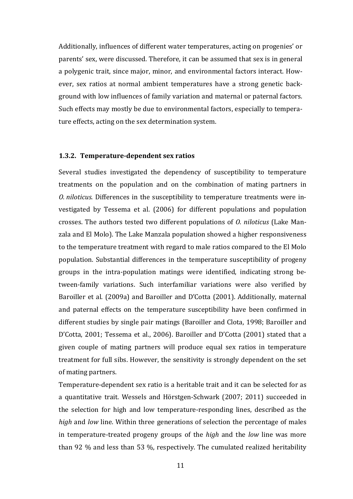Additionally, influences of different water temperatures, acting on progenies' or parents' sex, were discussed. Therefore, it can be assumed that sex is in general a polygenic trait, since major, minor, and environmental factors interact. However, sex ratios at normal ambient temperatures have a strong genetic background with low influences of family variation and maternal or paternal factors. Such effects may mostly be due to environmental factors, especially to temperature effects, acting on the sex determination system.

#### <span id="page-18-0"></span>**1.3.2. Temperature-dependent sex ratios**

Several studies investigated the dependency of susceptibility to temperature treatments on the population and on the combination of mating partners in *O. niloticus*. Differences in the susceptibility to temperature treatments were investigated by Tessema et al. (2006) for different populations and population crosses. The authors tested two different populations of *O. niloticus* (Lake Manzala and El Molo). The Lake Manzala population showed a higher responsiveness to the temperature treatment with regard to male ratios compared to the El Molo population. Substantial differences in the temperature susceptibility of progeny groups in the intra-population matings were identified, indicating strong between-family variations. Such interfamiliar variations were also verified by Baroiller et al. (2009a) and Baroiller and D'Cotta (2001). Additionally, maternal and paternal effects on the temperature susceptibility have been confirmed in different studies by single pair matings (Baroiller and Clota, 1998; Baroiller and D'Cotta, 2001; Tessema et al., 2006). Baroiller and D'Cotta (2001) stated that a given couple of mating partners will produce equal sex ratios in temperature treatment for full sibs. However, the sensitivity is strongly dependent on the set of mating partners.

Temperature-dependent sex ratio is a heritable trait and it can be selected for as a quantitative trait. Wessels and Hörstgen-Schwark (2007; 2011) succeeded in the selection for high and low temperature-responding lines, described as the *high* and *low* line. Within three generations of selection the percentage of males in temperature-treated progeny groups of the *high* and the *low* line was more than 92 % and less than 53 %, respectively. The cumulated realized heritability

11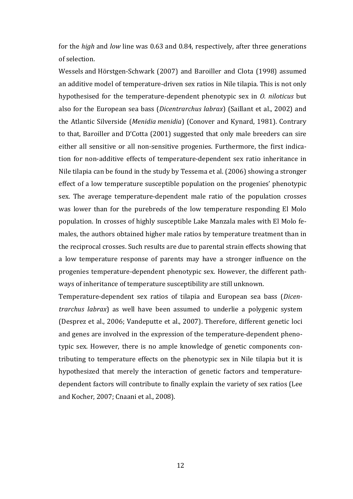for the *high* and *low* line was 0.63 and 0.84, respectively, after three generations of selection.

Wessels and Hörstgen-Schwark (2007) and Baroiller and Clota (1998) assumed an additive model of temperature-driven sex ratios in Nile tilapia. This is not only hypothesised for the temperature-dependent phenotypic sex in *O. niloticus* but also for the European sea bass (*Dicentrarchus labrax*) (Saillant et al., 2002) and the Atlantic Silverside (*Menidia menidia*) (Conover and Kynard, 1981). Contrary to that, Baroiller and D'Cotta (2001) suggested that only male breeders can sire either all sensitive or all non-sensitive progenies. Furthermore, the first indication for non-additive effects of temperature-dependent sex ratio inheritance in Nile tilapia can be found in the study by Tessema et al. (2006) showing a stronger effect of a low temperature susceptible population on the progenies' phenotypic sex. The average temperature-dependent male ratio of the population crosses was lower than for the purebreds of the low temperature responding El Molo population. In crosses of highly susceptible Lake Manzala males with El Molo females, the authors obtained higher male ratios by temperature treatment than in the reciprocal crosses. Such results are due to parental strain effects showing that a low temperature response of parents may have a stronger influence on the progenies temperature-dependent phenotypic sex. However, the different pathways of inheritance of temperature susceptibility are still unknown.

Temperature-dependent sex ratios of tilapia and European sea bass (*Dicentrarchus labrax*) as well have been assumed to underlie a polygenic system (Desprez et al., 2006; Vandeputte et al., 2007). Therefore, different genetic loci and genes are involved in the expression of the temperature-dependent phenotypic sex. However, there is no ample knowledge of genetic components contributing to temperature effects on the phenotypic sex in Nile tilapia but it is hypothesized that merely the interaction of genetic factors and temperaturedependent factors will contribute to finally explain the variety of sex ratios (Lee and Kocher, 2007; Cnaani et al., 2008).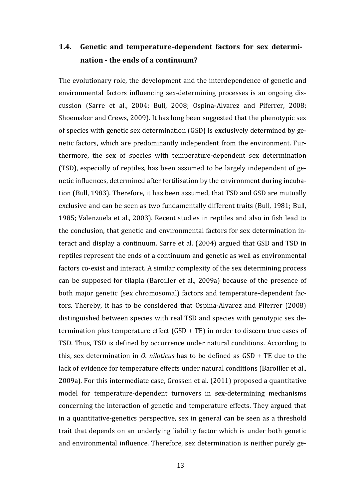# <span id="page-20-0"></span>**1.4. Genetic and temperature-dependent factors for sex determination - the ends of a continuum?**

The evolutionary role, the development and the interdependence of genetic and environmental factors influencing sex-determining processes is an ongoing discussion (Sarre et al., 2004; Bull, 2008; Ospina-Alvarez and Piferrer, 2008; Shoemaker and Crews, 2009). It has long been suggested that the phenotypic sex of species with genetic sex determination (GSD) is exclusively determined by genetic factors, which are predominantly independent from the environment. Furthermore, the sex of species with temperature-dependent sex determination (TSD), especially of reptiles, has been assumed to be largely independent of genetic influences, determined after fertilisation by the environment during incubation (Bull, 1983). Therefore, it has been assumed, that TSD and GSD are mutually exclusive and can be seen as two fundamentally different traits (Bull, 1981; Bull, 1985; Valenzuela et al., 2003). Recent studies in reptiles and also in fish lead to the conclusion, that genetic and environmental factors for sex determination interact and display a continuum. Sarre et al. (2004) argued that GSD and TSD in reptiles represent the ends of a continuum and genetic as well as environmental factors co-exist and interact. A similar complexity of the sex determining process can be supposed for tilapia (Baroiller et al., 2009a) because of the presence of both major genetic (sex chromosomal) factors and temperature-dependent factors. Thereby, it has to be considered that Ospina-Alvarez and Piferrer (2008) distinguished between species with real TSD and species with genotypic sex determination plus temperature effect (GSD + TE) in order to discern true cases of TSD. Thus, TSD is defined by occurrence under natural conditions. According to this, sex determination in *O. niloticus* has to be defined as GSD + TE due to the lack of evidence for temperature effects under natural conditions (Baroiller et al., 2009a). For this intermediate case, Grossen et al. (2011) proposed a quantitative model for temperature-dependent turnovers in sex-determining mechanisms concerning the interaction of genetic and temperature effects. They argued that in a quantitative-genetics perspective, sex in general can be seen as a threshold trait that depends on an underlying liability factor which is under both genetic and environmental influence. Therefore, sex determination is neither purely ge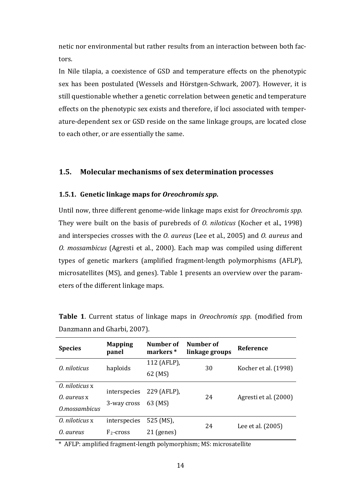netic nor environmental but rather results from an interaction between both factors.

In Nile tilapia, a coexistence of GSD and temperature effects on the phenotypic sex has been postulated (Wessels and Hörstgen-Schwark, 2007). However, it is still questionable whether a genetic correlation between genetic and temperature effects on the phenotypic sex exists and therefore, if loci associated with temperature-dependent sex or GSD reside on the same linkage groups, are located close to each other, or are essentially the same.

## <span id="page-21-0"></span>**1.5. Molecular mechanisms of sex determination processes**

#### <span id="page-21-1"></span>**1.5.1. Genetic linkage maps for** *Oreochromis spp***.**

Until now, three different genome-wide linkage maps exist for *Oreochromis spp.* They were built on the basis of purebreds of *O. niloticus* (Kocher et al., 1998) and interspecies crosses with the *O. aureus* (Lee et al., 2005) and *O. aureus* and *O. mossambicus* (Agresti et al., 2000). Each map was compiled using different types of genetic markers (amplified fragment-length polymorphisms (AFLP), microsatellites (MS), and genes). [Table 1](#page-21-2) presents an overview over the parameters of the different linkage maps.

| <b>Species</b> | <b>Mapping</b><br>panel | Number of<br>markers * | Number of<br>linkage groups | Reference             |
|----------------|-------------------------|------------------------|-----------------------------|-----------------------|
| 0. niloticus   | haploids                | 112 (AFLP),            | 30                          | Kocher et al. (1998)  |
|                |                         | 62 (MS)                |                             |                       |
| 0. niloticus x | interspecies            | 229 (AFLP),            | 24                          | Agresti et al. (2000) |
| 0. aureus x    |                         |                        |                             |                       |
| O.mossambicus  | 3-way cross             | 63 (MS)                |                             |                       |
| 0. niloticus x | interspecies            | 525 (MS),              | 24                          | Lee et al. (2005)     |
| O. aureus      | $F_2$ -cross            | $21$ (genes)           |                             |                       |

<span id="page-21-2"></span>**Table 1**. Current status of linkage maps in *Oreochromis spp.* (modified from Danzmann and Gharbi, 2007).

\* AFLP: amplified fragment-length polymorphism; MS: microsatellite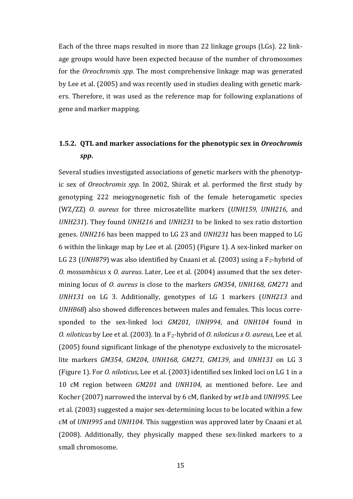Each of the three maps resulted in more than 22 linkage groups (LGs). 22 linkage groups would have been expected because of the number of chromosomes for the *Oreochromis spp.* The most comprehensive linkage map was generated by Lee et al. (2005) and was recently used in studies dealing with genetic markers. Therefore, it was used as the reference map for following explanations of gene and marker mapping.

# <span id="page-22-0"></span>**1.5.2. QTL and marker associations for the phenotypic sex in** *Oreochromis spp***.**

Several studies investigated associations of genetic markers with the phenotypic sex of *Oreochromis spp.* In 2002, Shirak et al. performed the first study by genotyping 222 meiogynogenetic fish of the female heterogametic species (WZ/ZZ) *O. aureus* for three microsatellite markers (*UNH159, UNH216*, and *UNH231*). They found *UNH216* and *UNH231* to be linked to sex ratio distortion genes. *UNH216* has been mapped to LG 23 and *UNH231* has been mapped to LG 6 within the linkage map by Lee et al. (2005) [\(Figure 1\)](#page-24-0). A sex-linked marker on LG 23 (*UNH879*) was also identified by Cnaani et al. (2003) using a F<sub>2</sub>-hybrid of *O. mossambicus* x *O. aureus*. Later, Lee et al. (2004) assumed that the sex determining locus of *O. aureus* is close to the markers *GM354*, *UNH168*, *GM271* and *UNH131* on LG 3. Additionally, genotypes of LG 1 markers (*UNH213* and *UNH868*) also showed differences between males and females. This locus corresponded to the sex-linked loci *GM201, UNH994*, and *UNH104* found in *O. niloticus* by Lee et al. (2003). In a F2-hybrid of *O. niloticus x O. aureus*, Lee et al. (2005) found significant linkage of the phenotype exclusively to the microsatellite markers *GM354*, *GM204*, *UNH168*, *GM271*, *GM139*, and *UNH131* on LG 3 [\(Figure 1\)](#page-24-0). For *O. niloticus*, Lee et al. (2003) identified sex linked loci on LG 1 in a 10 cM region between *GM201* and *UNH104*, as mentioned before. Lee and Kocher (2007) narrowed the interval by 6 cM, flanked by *wt1b* and *UNH995*. Lee et al. (2003) suggested a major sex-determining locus to be located within a few cM of *UNH995* and *UNH104*. This suggestion was approved later by Cnaani et al. (2008). Additionally, they physically mapped these sex-linked markers to a small chromosome.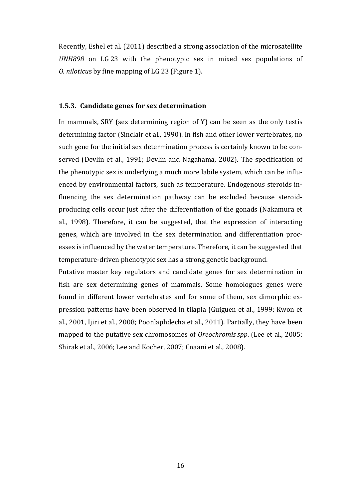Recently, Eshel et al. (2011) described a strong association of the microsatellite *UNH898* on LG 23 with the phenotypic sex in mixed sex populations of *O. niloticu*s by fine mapping of LG 23 [\(Figure 1\)](#page-24-0).

#### <span id="page-23-0"></span>**1.5.3. Candidate genes for sex determination**

In mammals, SRY (sex determining region of Y) can be seen as the only testis determining factor (Sinclair et al., 1990). In fish and other lower vertebrates, no such gene for the initial sex determination process is certainly known to be conserved (Devlin et al., 1991; Devlin and Nagahama, 2002). The specification of the phenotypic sex is underlying a much more labile system, which can be influenced by environmental factors, such as temperature. Endogenous steroids influencing the sex determination pathway can be excluded because steroidproducing cells occur just after the differentiation of the gonads (Nakamura et al., 1998). Therefore, it can be suggested, that the expression of interacting genes, which are involved in the sex determination and differentiation processes is influenced by the water temperature. Therefore, it can be suggested that temperature-driven phenotypic sex has a strong genetic background.

Putative master key regulators and candidate genes for sex determination in fish are sex determining genes of mammals. Some homologues genes were found in different lower vertebrates and for some of them, sex dimorphic expression patterns have been observed in tilapia (Guiguen et al., 1999; Kwon et al., 2001, Ijiri et al., 2008; Poonlaphdecha et al., 2011). Partially, they have been mapped to the putative sex chromosomes of *Oreochromis spp*. (Lee et al., 2005; Shirak et al., 2006; Lee and Kocher, 2007; Cnaani et al., 2008).

16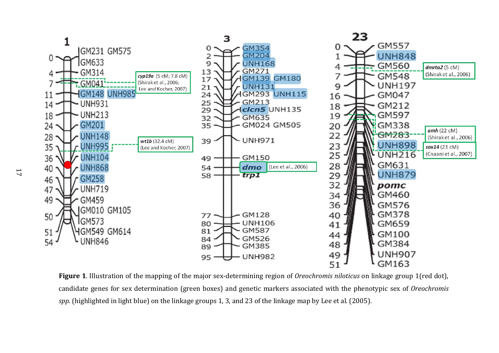

<span id="page-24-0"></span>**Figure 1**. Illustration of the mapping of the major sex-determining region of *Oreochromis niloticus* on linkage group 1(red dot), candidate genes for sex determination (green boxes) and genetic markers associated with the phenotypic sex of *Oreochromis spp*. (highlighted in light blue) on the linkage groups 1, 3, and 23 of the linkage map by Lee et al. (2005).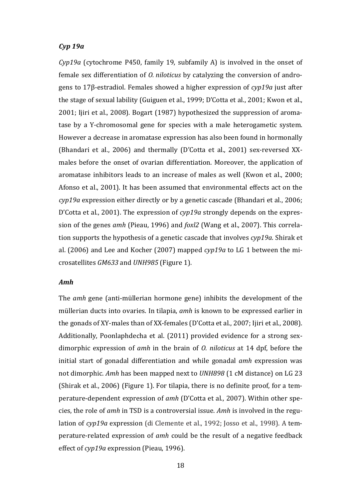## *Cyp 19a*

*Cyp19a* (cytochrome P450, family 19, subfamily A) is involved in the onset of female sex differentiation of *O. niloticus* by catalyzing the conversion of androgens to 17β-estradiol. Females showed a higher expression of *cyp19a* just after the stage of sexual lability (Guiguen et al., 1999; D'Cotta et al., 2001; Kwon et al., 2001; Ijiri et al., 2008). Bogart (1987) hypothesized the suppression of aromatase by a Y-chromosomal gene for species with a male heterogametic system. However a decrease in aromatase expression has also been found in hormonally (Bhandari et al., 2006) and thermally (D'Cotta et al., 2001) sex-reversed XXmales before the onset of ovarian differentiation. Moreover, the application of aromatase inhibitors leads to an increase of males as well (Kwon et al., 2000; Afonso et al., 2001). It has been assumed that environmental effects act on the *cyp19a* expression either directly or by a genetic cascade (Bhandari et al., 2006; D'Cotta et al., 2001). The expression of *cyp19a* strongly depends on the expression of the genes *amh* (Pieau, 1996) and *foxl2* (Wang et al., 2007). This correlation supports the hypothesis of a genetic cascade that involves *cyp19a*. Shirak et al. (2006) and Lee and Kocher (2007) mapped *cyp19a* to LG 1 between the microsatellites *GM633* and *UNH985* [\(Figure 1\)](#page-24-0).

## *Amh*

The *amh* gene (anti-müllerian hormone gene) inhibits the development of the müllerian ducts into ovaries. In tilapia, *amh* is known to be expressed earlier in the gonads of XY-males than of XX-females (D'Cotta et al., 2007; Ijiri et al., 2008). Additionally, Poonlaphdecha et al. (2011) provided evidence for a strong sexdimorphic expression of *amh* in the brain of *O. niloticus* at 14 dpf, before the initial start of gonadal differentiation and while gonadal *amh* expression was not dimorphic. *Amh* has been mapped next to *UNH898* (1 cM distance) on LG 23 (Shirak et al., 2006) [\(Figure 1\)](#page-24-0). For tilapia, there is no definite proof, for a temperature-dependent expression of *amh* (D'Cotta et al., 2007). Within other species, the role of *amh* in TSD is a controversial issue. *Amh* is involved in the regulation of *cyp19a* expression (di Clemente et al., 1992; Josso et al., 1998). A temperature-related expression of *amh* could be the result of a negative feedback effect of *cyp19a* expression (Pieau, 1996).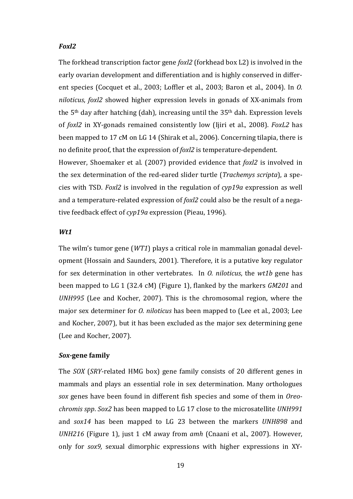#### *Foxl2*

The forkhead transcription factor gene *foxl2* (forkhead box L2) is involved in the early ovarian development and differentiation and is highly conserved in different species (Cocquet et al., 2003; Loffler et al., 2003; Baron et al., 2004). In *O. niloticus*, *foxl2* showed higher expression levels in gonads of XX-animals from the 5th day after hatching (dah), increasing until the 35th dah. Expression levels of *foxl2* in XY-gonads remained consistently low (Ijiri et al., 2008). *FoxL2* has been mapped to 17 cM on LG 14 (Shirak et al., 2006). Concerning tilapia, there is no definite proof, that the expression of *foxl2* is temperature-dependent.

However, Shoemaker et al. (2007) provided evidence that *foxl2* is involved in the sex determination of the red-eared slider turtle (*Trachemys scripta*), a species with TSD. *Foxl2* is involved in the regulation of *cyp19a* expression as well and a temperature-related expression of *foxl2* could also be the result of a negative feedback effect of *cyp19a* expression (Pieau, 1996).

## *Wt1*

The wilm's tumor gene (*WT1*) plays a critical role in mammalian gonadal development (Hossain and Saunders, 2001). Therefore, it is a putative key regulator for sex determination in other vertebrates. In *O. niloticus*, the *wt1b* gene has been mapped to LG 1 (32.4 cM) [\(Figure 1\)](#page-24-0), flanked by the markers *GM201* and *UNH995* (Lee and Kocher, 2007). This is the chromosomal region, where the major sex determiner for *O. niloticus* has been mapped to (Lee et al., 2003; Lee and Kocher, 2007), but it has been excluded as the major sex determining gene (Lee and Kocher, 2007).

#### *Sox-***gene family**

The *SOX* (*SRY*-related HMG box) gene family consists of 20 different genes in mammals and plays an essential role in sex determination. Many orthologues *sox* genes have been found in different fish species and some of them in *Oreochromis spp*. *Sox2* has been mapped to LG 17 close to the microsatellite *UNH991* and *sox14* has been mapped to LG 23 between the markers *UNH898* and *UNH216* [\(Figure 1\)](#page-24-0), just 1 cM away from *amh* (Cnaani et al., 2007). However, only for *sox9,* sexual dimorphic expressions with higher expressions in XY-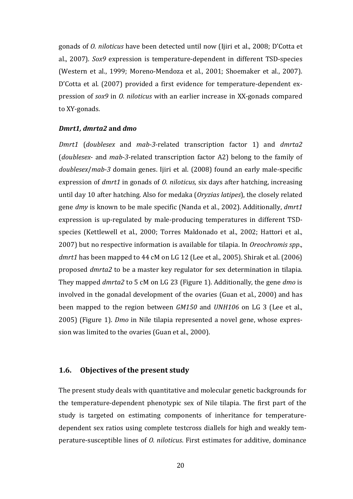gonads of *O. niloticus* have been detected until now (Ijiri et al., 2008; D'Cotta et al., 2007). *Sox9* expression is temperature-dependent in different TSD-species (Western et al., 1999; Moreno-Mendoza et al., 2001; Shoemaker et al., 2007). D'Cotta et al. (2007) provided a first evidence for temperature-dependent expression of *sox9* in *O. niloticus* with an earlier increase in XX-gonads compared to XY-gonads.

## *Dmrt1, dmrta2* **and** *dmo*

*Dmrt1* (*doublesex* and *mab-3*-related transcription factor 1) and *dmrta2* (*doublesex*- and *mab-3*-related transcription factor A2) belong to the family of *doublesex*/*mab-3* domain genes. Ijiri et al. (2008) found an early male-specific expression of *dmrt1* in gonads of *O. niloticus,* six days after hatching, increasing until day 10 after hatching. Also for medaka (*Oryzias latipes*), the closely related gene *dmy* is known to be male specific (Nanda et al., 2002). Additionally, *dmrt1* expression is up-regulated by male-producing temperatures in different TSDspecies (Kettlewell et al., 2000; Torres Maldonado et al., 2002; Hattori et al., 2007) but no respective information is available for tilapia. In *Oreochromis spp*., *dmrt1* has been mapped to 44 cM on LG 12 (Lee et al., 2005). Shirak et al. (2006) proposed *dmrta2* to be a master key regulator for sex determination in tilapia. They mapped *dmrta2* to 5 cM on LG 23 [\(Figure 1\)](#page-24-0). Additionally, the gene *dmo* is involved in the gonadal development of the ovaries (Guan et al., 2000) and has been mapped to the region between *GM150* and *UNH106* on LG 3 (Lee et al., 2005) [\(Figure 1\)](#page-24-0). *Dmo* in Nile tilapia represented a novel gene, whose expression was limited to the ovaries (Guan et al., 2000).

## <span id="page-27-0"></span>**1.6. Objectives of the present study**

The present study deals with quantitative and molecular genetic backgrounds for the temperature-dependent phenotypic sex of Nile tilapia. The first part of the study is targeted on estimating components of inheritance for temperaturedependent sex ratios using complete testcross diallels for high and weakly temperature-susceptible lines of *O. niloticus*. First estimates for additive, dominance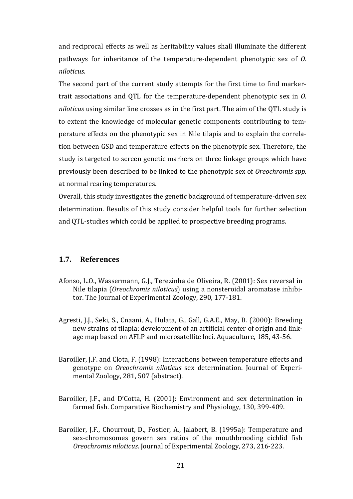and reciprocal effects as well as heritability values shall illuminate the different pathways for inheritance of the temperature-dependent phenotypic sex of *O. niloticus*.

The second part of the current study attempts for the first time to find markertrait associations and QTL for the temperature-dependent phenotypic sex in *O. niloticus* using similar line crosses as in the first part. The aim of the QTL study is to extent the knowledge of molecular genetic components contributing to temperature effects on the phenotypic sex in Nile tilapia and to explain the correlation between GSD and temperature effects on the phenotypic sex. Therefore, the study is targeted to screen genetic markers on three linkage groups which have previously been described to be linked to the phenotypic sex of *Oreochromis spp.* at normal rearing temperatures.

<span id="page-28-0"></span>Overall, this study investigates the genetic background of temperature-driven sex determination. Results of this study consider helpful tools for further selection and QTL-studies which could be applied to prospective breeding programs.

## **1.7. References**

- Afonso, L.O., Wassermann, G.J., Terezinha de Oliveira, R. (2001): Sex reversal in Nile tilapia (*Oreochromis niloticus*) using a nonsteroidal aromatase inhibitor. The Journal of Experimental Zoology, 290, 177-181.
- Agresti, J.J., Seki, S., Cnaani, A., Hulata, G., Gall, G.A.E., May, B. (2000): Breeding new strains of tilapia: development of an artificial center of origin and linkage map based on AFLP and microsatellite loci. Aquaculture, 185, 43-56.
- Baroiller, J.F. and Clota, F. (1998): Interactions between temperature effects and genotype on *Oreochromis niloticus* sex determination. Journal of Experimental Zoology, 281, 507 (abstract).
- Baroiller, J.F., and D'Cotta, H. (2001): Environment and sex determination in farmed fish. Comparative Biochemistry and Physiology, 130, 399-409.
- Baroiller, J.F., Chourrout, D., Fostier, A., Jalabert, B. (1995a): Temperature and sex-chromosomes govern sex ratios of the mouthbrooding cichlid fish *Oreochromis niloticus*. Journal of Experimental Zoology, 273, 216-223.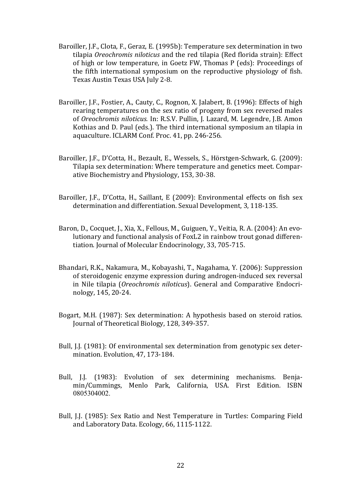- Baroiller, J.F., Clota, F., Geraz, E. (1995b): Temperature sex determination in two tilapia *Oreochromis niloticus* and the red tilapia (Red florida strain): Effect of high or low temperature, in Goetz FW, Thomas P (eds): Proceedings of the fifth international symposium on the reproductive physiology of fish. Texas Austin Texas USA July 2-8.
- Baroiller, J.F., Fostier, A., Cauty, C., Rognon, X. Jalabert, B. (1996): Effects of high rearing temperatures on the sex ratio of progeny from sex reversed males of *Oreochromis niloticus.* In: R.S.V. Pullin, J. Lazard, M. Legendre, J.B. Amon Kothias and D. Paul (eds.). The third international symposium an tilapia in aquaculture. ICLARM Conf. Proc. 41, pp. 246-256.
- Baroiller, J.F., D'Cotta, H., Bezault, E., Wessels, S., Hörstgen-Schwark, G. (2009): Tilapia sex determination: Where temperature and genetics meet. Comparative Biochemistry and Physiology, 153, 30-38.
- Baroiller, J.F., D'Cotta, H., Saillant, E (2009): Environmental effects on fish sex determination and differentiation. Sexual Development, 3, 118-135.
- Baron, D., Cocquet, J., Xia, X., Fellous, M., Guiguen, Y., Veitia, R. A. (2004): An evolutionary and functional analysis of FoxL2 in rainbow trout gonad differentiation. Journal of Molecular Endocrinology, 33, 705-715.
- Bhandari, R.K., Nakamura, M., Kobayashi, T., Nagahama, Y. (2006): Suppression of steroidogenic enzyme expression during androgen-induced sex reversal in Nile tilapia (*Oreochromis niloticus*). General and Comparative Endocrinology, 145, 20-24.
- Bogart, M.H. (1987): Sex determination: A hypothesis based on steroid ratios. Journal of Theoretical Biology, 128, 349-357.
- Bull, J.J. (1981): Of environmental sex determination from genotypic sex determination. Evolution, 47, 173-184.
- Bull, J.J. (1983): Evolution of sex determining mechanisms. Benjamin/Cummings, Menlo Park, California, USA. First Edition. ISBN 0805304002.
- Bull, J.J. (1985): Sex Ratio and Nest Temperature in Turtles: Comparing Field and Laboratory Data. Ecology, 66, 1115-1122.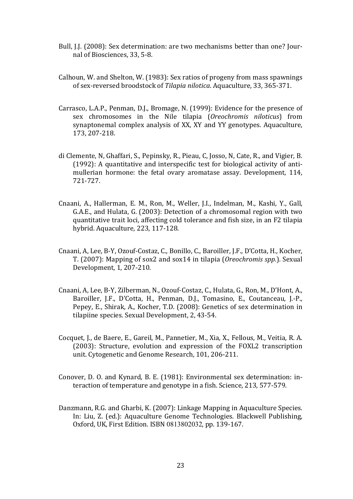- Bull, J.J. (2008): Sex determination: are two mechanisms better than one? Journal of Biosciences, 33, 5-8.
- Calhoun, W. and Shelton, W. (1983): Sex ratios of progeny from mass spawnings of sex-reversed broodstock of *Tilapia nilotica*. Aquaculture, 33, 365-371.
- Carrasco, L.A.P., Penman, D.J., Bromage, N. (1999): Evidence for the presence of sex chromosomes in the Nile tilapia (*Oreochromis niloticus*) from synaptonemal complex analysis of XX, XY and YY genotypes. Aquaculture, 173, 207-218.
- di Clemente, N, Ghaffari, S., Pepinsky, R., Pieau, C, Josso, N, Cate, R., and Vigier, B. (1992): A quantitative and interspecific test for biological activity of antimullerian hormone: the fetal ovary aromatase assay. Development, 114, 721-727.
- Cnaani, A., Hallerman, E. M., Ron, M., Weller, J.I., Indelman, M., Kashi, Y., Gall, G.A.E., and Hulata, G. (2003): Detection of a chromosomal region with two quantitative trait loci, affecting cold tolerance and fish size, in an F2 tilapia hybrid. Aquaculture, 223, 117-128.
- Cnaani, A, Lee, B-Y, Ozouf-Costaz, C., Bonillo, C., Baroiller, J.F., D'Cotta, H., Kocher, T. (2007): Mapping of sox2 and sox14 in tilapia (*Oreochromis spp.*). Sexual Development, 1, 207-210.
- Cnaani, A, Lee, B-Y, Zilberman, N., Ozouf-Costaz, C., Hulata, G., Ron, M., D'Hont, A., Baroiller, J.F., D'Cotta, H., Penman, D.J., Tomasino, E., Coutanceau, J.-P., Pepey, E., Shirak, A., Kocher, T.D. (2008): Genetics of sex determination in tilapiine species. Sexual Development, 2, 43-54.
- Cocquet, J., de Baere, E., Gareil, M., Pannetier, M., Xia, X., Fellous, M., Veitia, R. A. (2003): Structure, evolution and expression of the FOXL2 transcription unit. Cytogenetic and Genome Research, 101, 206-211.
- Conover, D. O. and Kynard, B. E. (1981): Environmental sex determination: interaction of temperature and genotype in a fish. Science, 213, 577-579.
- Danzmann, R.G. and Gharbi, K. (2007): Linkage Mapping in Aquaculture Species. In: Liu, Z. (ed.): Aquaculture Genome Technologies. Blackwell Publishing, Oxford, UK, First Edition. ISBN 0813802032, pp. 139-167.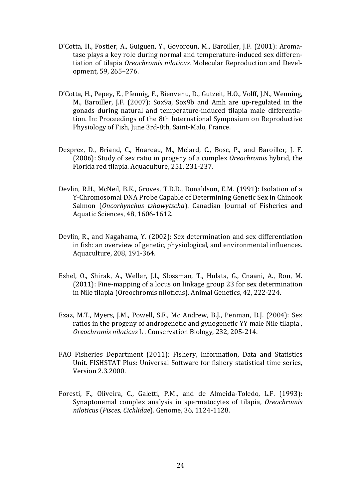- D'Cotta, H., Fostier, A., Guiguen, Y., Govoroun, M., Baroiller, J.F. (2001): Aromatase plays a key role during normal and temperature-induced sex differentiation of tilapia *Oreochromis niloticus.* Molecular Reproduction and Development, 59, 265–276.
- D'Cotta, H., Pepey, E., Pfennig, F., Bienvenu, D., Gutzeit, H.O., Volff, J.N., Wenning, M., Baroiller, J.F. (2007): Sox9a, Sox9b and Amh are up-regulated in the gonads during natural and temperature-induced tilapia male differentiation. In: Proceedings of the 8th International Symposium on Reproductive Physiology of Fish, June 3rd-8th, Saint-Malo, France.
- Desprez, D., Briand, C., Hoareau, M., Melard, C., Bosc, P., and Baroiller, J. F. (2006): Study of sex ratio in progeny of a complex *Oreochromis* hybrid, the Florida red tilapia. Aquaculture, 251, 231-237.
- Devlin, R.H., McNeil, B.K., Groves, T.D.D., Donaldson, E.M. (1991): Isolation of a Y-Chromosomal DNA Probe Capable of Determining Genetic Sex in Chinook Salmon (*Oncorhynchus tshawytscha*). Canadian Journal of Fisheries and Aquatic Sciences, 48, 1606-1612.
- Devlin, R., and Nagahama, Y. (2002): Sex determination and sex differentiation in fish: an overview of genetic, physiological, and environmental influences. Aquaculture, 208, 191-364.
- Eshel, O., Shirak, A., Weller, J.I., Slossman, T., Hulata, G., Cnaani, A., Ron, M. (2011): Fine-mapping of a locus on linkage group 23 for sex determination in Nile tilapia (Oreochromis niloticus). Animal Genetics, 42, 222-224.
- Ezaz, M.T., Myers, J.M., Powell, S.F., Mc Andrew, B.J., Penman, D.J. (2004): Sex ratios in the progeny of androgenetic and gynogenetic YY male Nile tilapia , *Oreochromis niloticus* L . Conservation Biology, 232, 205-214.
- FAO Fisheries Department (2011): Fishery, Information, Data and Statistics Unit. FISHSTAT Plus: Universal Software for fishery statistical time series, Version 2.3.2000.
- Foresti, F., Oliveira, C., Galetti, P.M., and de Almeida-Toledo, L.F. (1993): Synaptonemal complex analysis in spermatocytes of tilapia, *Oreochromis niloticus* (*Pisces, Cichlidae*). Genome, 36, 1124-1128.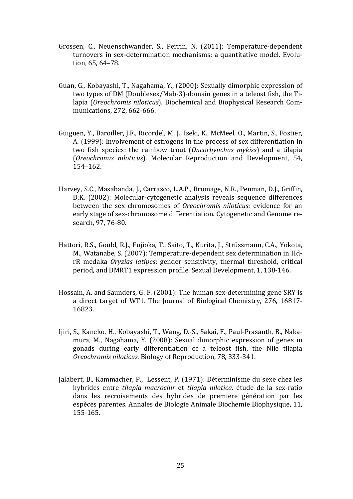- Grossen, C., Neuenschwander, S., Perrin, N. (2011): Temperature-dependent turnovers in sex-determination mechanisms: a quantitative model. Evolution, 65, 64–78.
- Guan, G., Kobayashi, T., Nagahama, Y., (2000): Sexually dimorphic expression of two types of DM (Doublesex/Mab-3)-domain genes in a teleost fish, the Tilapia (*Oreochromis niloticus*). Biochemical and Biophysical Research Communications, 272, 662-666.
- Guiguen, Y., Baroiller, J.F., Ricordel, M. J., Iseki, K., McMeel, O., Martin, S., Fostier, A. (1999): Involvement of estrogens in the process of sex differentiation in two fish species: the rainbow trout (*Oncorhynchus mykiss*) and a tilapia (*Oreochromis niloticus*). Molecular Reproduction and Development, 54, 154–162.
- Harvey, S.C., Masabanda, J., Carrasco, L.A.P., Bromage, N.R., Penman, D.J., Griffin, D.K. (2002): Molecular-cytogenetic analysis reveals sequence differences between the sex chromosomes of *Oreochromis niloticus*: evidence for an early stage of sex-chromosome differentiation. Cytogenetic and Genome research, 97, 76-80.
- Hattori, R.S., Gould, R.J., Fujioka, T., Saito, T., Kurita, J., Strüssmann, C.A., Yokota, M., Watanabe, S. (2007): Temperature-dependent sex determination in HdrR medaka *Oryzias latipes*: gender sensitivity, thermal threshold, critical period, and DMRT1 expression profile. Sexual Development, 1, 138-146.
- Hossain, A. and Saunders, G. F. (2001): The human sex-determining gene SRY is a direct target of WT1. The Journal of Biological Chemistry, 276, 16817- 16823.
- Ijiri, S., Kaneko, H., Kobayashi, T., Wang, D.-S., Sakai, F., Paul-Prasanth, B., Nakamura, M., Nagahama, Y. (2008): Sexual dimorphic expression of genes in gonads during early differentiation of a teleost fish, the Nile tilapia *Oreochromis niloticus.* Biology of Reproduction, 78, 333-341.
- Jalabert, B., Kammacher, P., Lessent, P. (1971): Déterminisme du sexe chez les hybrides entre *tilapia macrochir* et *tilapia nilotica*. étude de la sex-ratio dans les recroisements des hybrides de premiere génération par les espèces parentes. Annales de Biologie Animale Biochemie Biophysique, 11, 155-165.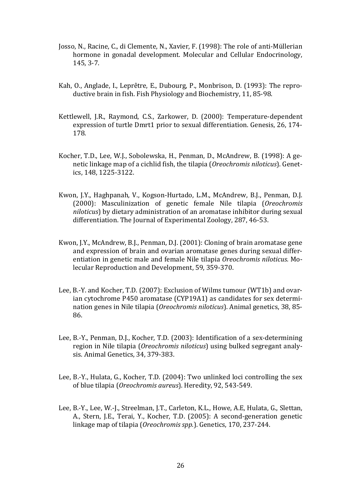- Josso, N., Racine, C., di Clemente, N., Xavier, F. (1998): The role of anti-Müllerian hormone in gonadal development. Molecular and Cellular Endocrinology, 145, 3-7.
- Kah, O., Anglade, I., Leprêtre, E., Dubourg, P., Monbrison, D. (1993): The reproductive brain in fish. Fish Physiology and Biochemistry, 11, 85-98.
- Kettlewell, J.R., Raymond, C.S., Zarkower, D. (2000): Temperature-dependent expression of turtle Dmrt1 prior to sexual differentiation. Genesis, 26, 174- 178.
- Kocher, T.D., Lee, W.J., Sobolewska, H., Penman, D., McAndrew, B. (1998): A genetic linkage map of a cichlid fish, the tilapia (*Oreochromis niloticus*). Genetics, 148, 1225-3122.
- Kwon, J.Y., Haghpanah, V., Kogson-Hurtado, L.M., McAndrew, B.J., Penman, D.J. (2000): Masculinization of genetic female Nile tilapia (*Oreochromis niloticus*) by dietary administration of an aromatase inhibitor during sexual differentiation. The Journal of Experimental Zoology, 287, 46-53.
- Kwon, J.Y., McAndrew, B.J., Penman, D.J. (2001): Cloning of brain aromatase gene and expression of brain and ovarian aromatase genes during sexual differentiation in genetic male and female Nile tilapia *Oreochromis niloticus.* Molecular Reproduction and Development, 59, 359-370.
- Lee, B.-Y. and Kocher, T.D. (2007): Exclusion of Wilms tumour (WT1b) and ovarian cytochrome P450 aromatase (CYP19A1) as candidates for sex determination genes in Nile tilapia (*Oreochromis niloticus*). Animal genetics, 38, 85- 86.
- Lee, B.-Y., Penman, D.J., Kocher, T.D. (2003): Identification of a sex-determining region in Nile tilapia (*Oreochromis niloticus*) using bulked segregant analysis. Animal Genetics, 34, 379-383.
- Lee, B.-Y., Hulata, G., Kocher, T.D. (2004): Two unlinked loci controlling the sex of blue tilapia (*Oreochromis aureus*). Heredity, 92, 543-549.
- Lee, B.-Y., Lee, W.-J., Streelman, J.T., Carleton, K.L., Howe, A.E, Hulata, G., Slettan, A., Stern, J.E., Terai, Y., Kocher, T.D. (2005): A second-generation genetic linkage map of tilapia (*Oreochromis spp.*). Genetics, 170, 237-244.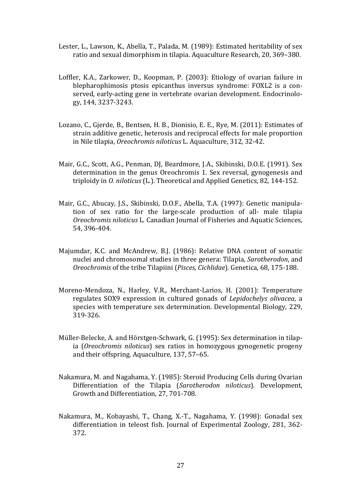- Lester, L., Lawson, K., Abella, T., Palada, M. (1989): Estimated heritability of sex ratio and sexual dimorphism in tilapia. Aquaculture Research, 20, 369–380.
- Loffler, K.A., Zarkower, D., Koopman, P. (2003): Etiology of ovarian failure in blepharophimosis ptosis epicanthus inversus syndrome: FOXL2 is a conserved, early-acting gene in vertebrate ovarian development. Endocrinology, 144, 3237-3243.
- Lozano, C., Gjerde, B., Bentsen, H. B., Dionisio, E. E., Rye, M. (2011): Estimates of strain additive genetic, heterosis and reciprocal effects for male proportion in Nile tilapia, *Oreochromis niloticus* L. Aquaculture, 312, 32-42.
- Mair, G.C., Scott, A.G., Penman, DJ, Beardmore, J.A., Skibinski, D.O.E. (1991). Sex determination in the genus Oreochromis 1. Sex reversal, gynogenesis and triploidy in *O. niloticus* (L.). Theoretical and Applied Genetics, 82, 144-152.
- Mair, G.C., Abucay, J.S., Skibinski, D.O.F., Abella, T.A. (1997): Genetic manipulation of sex ratio for the large-scale production of all- male tilapia *Oreochromis niloticus* L. Canadian Journal of Fisheries and Aquatic Sciences, 54, 396-404.
- Majumdar, K.C. and McAndrew, B.J. (1986): Relative DNA content of somatic nuclei and chromosomal studies in three genera: Tilapia, *Sarotherodon*, and *Oreochromis* of the tribe Tilapiini (*Pisces, Cichlidae*). Genetica, 68, 175-188.
- Moreno-Mendoza, N., Harley, V.R., Merchant-Larios, H. (2001): Temperature regulates SOX9 expression in cultured gonads of *Lepidochelys olivacea*, a species with temperature sex determination. Developmental Biology, 229, 319-326.
- Müller-Belecke, A. and Hörstgen-Schwark, G. (1995): Sex determination in tilapia (*Oreochromis niloticus*) sex ratios in homozygous gynogenetic progeny and their offspring. Aquaculture, 137, 57–65.
- Nakamura, M. and Nagahama, Y. (1985): Steroid Producing Cells during Ovarian Differentiation of the Tilapia (*Sarotherodon niloticus*). Development, Growth and Differentiation, 27, 701-708.
- Nakamura, M., Kobayashi, T., Chang, X.-T., Nagahama, Y. (1998): Gonadal sex differentiation in teleost fish. Journal of Experimental Zoology, 281, 362- 372.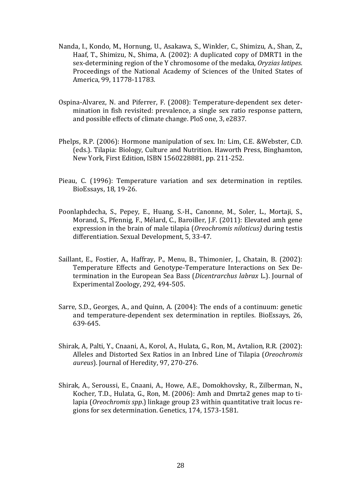- Nanda, I., Kondo, M., Hornung, U., Asakawa, S., Winkler, C., Shimizu, A., Shan, Z., Haaf, T., Shimizu, N., Shima, A. (2002): A duplicated copy of DMRT1 in the sex-determining region of the Y chromosome of the medaka, *Oryzias latipes*. Proceedings of the National Academy of Sciences of the United States of America, 99, 11778-11783.
- Ospina-Alvarez, N. and Piferrer, F. (2008): Temperature-dependent sex determination in fish revisited: prevalence, a single sex ratio response pattern, and possible effects of climate change. PloS one, 3, e2837.
- Phelps, R.P. (2006): Hormone manipulation of sex. In: Lim, C.E. &Webster, C.D. (eds.). Tilapia: Biology, Culture and Nutrition. Haworth Press, Binghamton, New York, First Edition, ISBN 1560228881, pp. 211-252.
- Pieau, C. (1996): Temperature variation and sex determination in reptiles. BioEssays, 18, 19-26.
- Poonlaphdecha, S., Pepey, E., Huang, S.-H., Canonne, M., Soler, L., Mortaji, S., Morand, S., Pfennig, F., Mélard, C., Baroiller, J.F. (2011): Elevated amh gene expression in the brain of male tilapia (*Oreochromis niloticus)* during testis differentiation. Sexual Development, 5, 33-47.
- Saillant, E., Fostier, A., Haffray, P., Menu, B., Thimonier, J., Chatain, B. (2002): Temperature Effects and Genotype-Temperature Interactions on Sex Determination in the European Sea Bass (*Dicentrarchus labrax* L.). Journal of Experimental Zoology, 292, 494-505.
- Sarre, S.D., Georges, A., and Quinn, A. (2004): The ends of a continuum: genetic and temperature-dependent sex determination in reptiles. BioEssays, 26, 639-645.
- Shirak, A, Palti, Y., Cnaani, A., Korol, A., Hulata, G., Ron, M., Avtalion, R.R. (2002): Alleles and Distorted Sex Ratios in an Inbred Line of Tilapia (*Oreochromis aureus*). Journal of Heredity, 97, 270-276.
- Shirak, A., Seroussi, E., Cnaani, A., Howe, A.E., Domokhovsky, R., Zilberman, N., Kocher, T.D., Hulata, G., Ron, M. (2006): Amh and Dmrta2 genes map to tilapia (*Oreochromis spp*.) linkage group 23 within quantitative trait locus regions for sex determination. Genetics, 174, 1573-1581.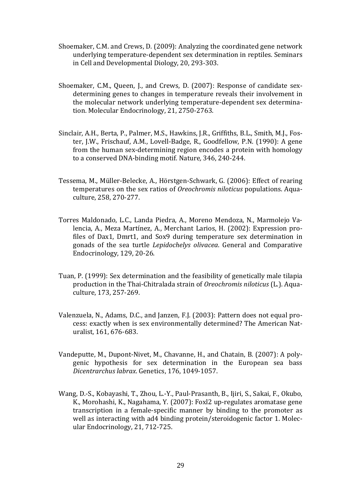- Shoemaker, C.M. and Crews, D. (2009): Analyzing the coordinated gene network underlying temperature-dependent sex determination in reptiles. Seminars in Cell and Developmental Diology, 20, 293-303.
- Shoemaker, C.M., Queen, J., and Crews, D. (2007): Response of candidate sexdetermining genes to changes in temperature reveals their involvement in the molecular network underlying temperature-dependent sex determination. Molecular Endocrinology, 21, 2750-2763.
- Sinclair, A.H., Berta, P., Palmer, M.S., Hawkins, J.R., Griffiths, B.L., Smith, M.J., Foster, J.W., Frischauf, A.M., Lovell-Badge, R., Goodfellow, P.N. (1990): A gene from the human sex-determining region encodes a protein with homology to a conserved DNA-binding motif*.* Nature*,* 346, 240-244.
- Tessema, M., Müller-Belecke, A., Hörstgen-Schwark, G. (2006): Effect of rearing temperatures on the sex ratios of *Oreochromis niloticus* populations. Aquaculture, 258, 270-277.
- Torres Maldonado, L.C., Landa Piedra, A., Moreno Mendoza, N., Marmolejo Valencia, A., Meza Martínez, A., Merchant Larios, H. (2002): Expression profiles of Dax1, Dmrt1, and Sox9 during temperature sex determination in gonads of the sea turtle *Lepidochelys olivacea*. General and Comparative Endocrinology, 129, 20-26.
- Tuan, P. (1999): Sex determination and the feasibility of genetically male tilapia production in the Thai-Chitralada strain of *Oreochromis niloticus* (L.). Aquaculture, 173, 257-269.
- Valenzuela, N., Adams, D.C., and Janzen, F.J. (2003): Pattern does not equal process: exactly when is sex environmentally determined? The American Naturalist, 161, 676-683.
- Vandeputte, M., Dupont-Nivet, M., Chavanne, H., and Chatain, B. (2007): A polygenic hypothesis for sex determination in the European sea bass *Dicentrarchus labrax*. Genetics, 176, 1049-1057.
- Wang, D.-S., Kobayashi, T., Zhou, L.-Y., Paul-Prasanth, B., Ijiri, S., Sakai, F., Okubo, K., Morohashi, K., Nagahama, Y. (2007): Foxl2 up-regulates aromatase gene transcription in a female-specific manner by binding to the promoter as well as interacting with ad4 binding protein/steroidogenic factor 1. Molecular Endocrinology, 21, 712-725.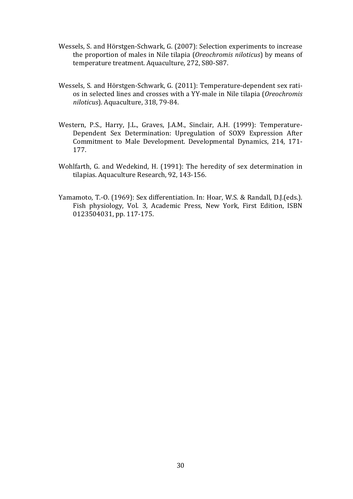- Wessels, S. and Hörstgen-Schwark, G. (2007): Selection experiments to increase the proportion of males in Nile tilapia (*Oreochromis niloticus*) by means of temperature treatment. Aquaculture, 272, S80-S87.
- Wessels, S. and Hörstgen-Schwark, G. (2011): Temperature-dependent sex ratios in selected lines and crosses with a YY-male in Nile tilapia (*Oreochromis niloticus*). Aquaculture, 318, 79-84.
- Western, P.S., Harry, J.L., Graves, J.A.M., Sinclair, A.H. (1999): Temperature-Dependent Sex Determination: Upregulation of SOX9 Expression After Commitment to Male Development. Developmental Dynamics, 214, 171- 177.
- Wohlfarth, G. and Wedekind, H. (1991): The heredity of sex determination in tilapias. Aquaculture Research, 92, 143-156.
- Yamamoto, T.-O. (1969): Sex differentiation. In: Hoar, W.S. & Randall, D.J.(eds.). Fish physiology, Vol. 3, Academic Press, New York, First Edition, ISBN 0123504031, pp. 117-175.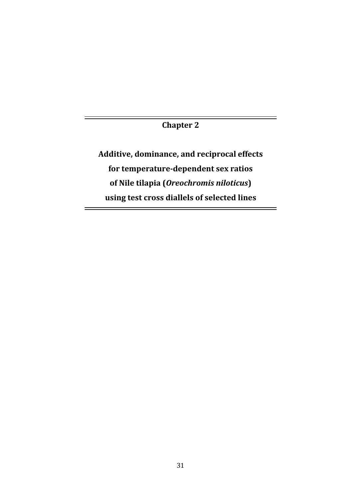**Chapter 2** 

**Additive, dominance, and reciprocal effects for temperature-dependent sex ratios of Nile tilapia (***Oreochromis niloticus***) using test cross diallels of selected lines**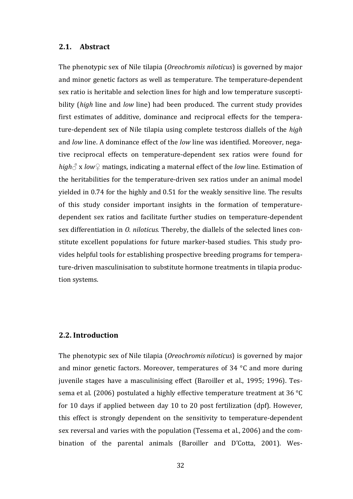#### **2.1. Abstract**

The phenotypic sex of Nile tilapia (*Oreochromis niloticus*) is governed by major and minor genetic factors as well as temperature. The temperature-dependent sex ratio is heritable and selection lines for high and low temperature susceptibility (*high* line and *low* line) had been produced. The current study provides first estimates of additive, dominance and reciprocal effects for the temperature-dependent sex of Nile tilapia using complete testcross diallels of the *high* and *low* line. A dominance effect of the *low* line was identified. Moreover, negative reciprocal effects on temperature-dependent sex ratios were found for *high*♂ x *low*♀ matings, indicating a maternal effect of the *low* line. Estimation of the heritabilities for the temperature-driven sex ratios under an animal model yielded in 0.74 for the highly and 0.51 for the weakly sensitive line. The results of this study consider important insights in the formation of temperaturedependent sex ratios and facilitate further studies on temperature-dependent sex differentiation in *O. niloticus.* Thereby, the diallels of the selected lines constitute excellent populations for future marker-based studies. This study provides helpful tools for establishing prospective breeding programs for temperature-driven masculinisation to substitute hormone treatments in tilapia production systems.

## **2.2. Introduction**

The phenotypic sex of Nile tilapia (*Oreochromis niloticus*) is governed by major and minor genetic factors. Moreover, temperatures of 34 °C and more during juvenile stages have a masculinising effect (Baroiller et al., 1995; 1996). Tessema et al. (2006) postulated a highly effective temperature treatment at 36 °C for 10 days if applied between day 10 to 20 post fertilization (dpf). However, this effect is strongly dependent on the sensitivity to temperature-dependent sex reversal and varies with the population (Tessema et al., 2006) and the combination of the parental animals (Baroiller and D'Cotta, 2001). Wes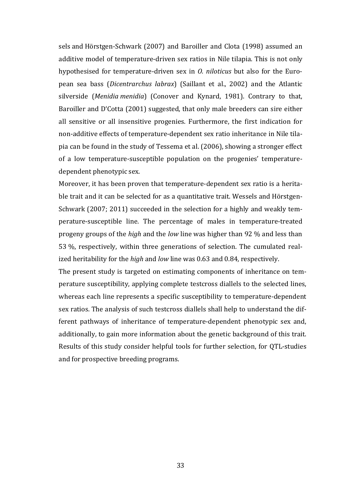sels and Hörstgen-Schwark (2007) and Baroiller and Clota (1998) assumed an additive model of temperature-driven sex ratios in Nile tilapia. This is not only hypothesised for temperature-driven sex in *O. niloticus* but also for the European sea bass (*Dicentrarchus labrax*) (Saillant et al., 2002) and the Atlantic silverside (*Menidia menidia*) (Conover and Kynard, 1981). Contrary to that, Baroiller and D'Cotta (2001) suggested, that only male breeders can sire either all sensitive or all insensitive progenies. Furthermore, the first indication for non-additive effects of temperature-dependent sex ratio inheritance in Nile tilapia can be found in the study of Tessema et al. (2006), showing a stronger effect of a low temperature-susceptible population on the progenies' temperaturedependent phenotypic sex.

Moreover, it has been proven that temperature-dependent sex ratio is a heritable trait and it can be selected for as a quantitative trait. Wessels and Hörstgen-Schwark (2007; 2011) succeeded in the selection for a highly and weakly temperature-susceptible line. The percentage of males in temperature-treated progeny groups of the *high* and the *low* line was higher than 92 % and less than 53 %, respectively, within three generations of selection. The cumulated realized heritability for the *high* and *low* line was 0.63 and 0.84, respectively.

The present study is targeted on estimating components of inheritance on temperature susceptibility, applying complete testcross diallels to the selected lines, whereas each line represents a specific susceptibility to temperature-dependent sex ratios. The analysis of such testcross diallels shall help to understand the different pathways of inheritance of temperature-dependent phenotypic sex and, additionally, to gain more information about the genetic background of this trait. Results of this study consider helpful tools for further selection, for QTL-studies and for prospective breeding programs.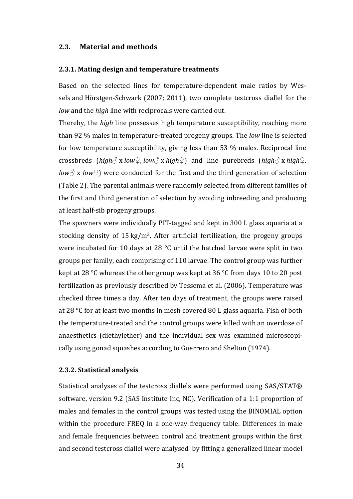#### **2.3. Material and methods**

#### **2.3.1. Mating design and temperature treatments**

Based on the selected lines for temperature-dependent male ratios by Wessels and Hörstgen-Schwark (2007; 2011), two complete testcross diallel for the *low* and the *high* line with reciprocals were carried out.

Thereby, the *high* line possesses high temperature susceptibility, reaching more than 92 % males in temperature-treated progeny groups. The *low* line is selected for low temperature susceptibility, giving less than 53 % males. Reciprocal line crossbreds (*high*♂ x *low♀*, *low♂* x *high♀*) and line purebreds (*high♂* x *high*♀, *low* $\Diamond$  x *low* $\Diamond$ ) were conducted for the first and the third generation of selection [\(Table 2\)](#page-44-0). The parental animals were randomly selected from different families of the first and third generation of selection by avoiding inbreeding and producing at least half-sib progeny groups.

The spawners were individually PIT-tagged and kept in 300 L glass aquaria at a stocking density of  $15 \text{ kg/m}^3$ . After artificial fertilization, the progeny groups were incubated for 10 days at 28 °C until the hatched larvae were split in two groups per family, each comprising of 110 larvae. The control group was further kept at 28 °C whereas the other group was kept at 36 °C from days 10 to 20 post fertilization as previously described by Tessema et al. (2006). Temperature was checked three times a day. After ten days of treatment, the groups were raised at 28 °C for at least two months in mesh covered 80 L glass aquaria. Fish of both the temperature-treated and the control groups were killed with an overdose of anaesthetics (diethylether) and the individual sex was examined microscopically using gonad squashes according to Guerrero and Shelton (1974).

#### **2.3.2. Statistical analysis**

Statistical analyses of the testcross diallels were performed using SAS/STAT® software, version 9.2 (SAS Institute Inc, NC). Verification of a 1:1 proportion of males and females in the control groups was tested using the BINOMIAL option within the procedure FREQ in a one-way frequency table. Differences in male and female frequencies between control and treatment groups within the first and second testcross diallel were analysed by fitting a generalized linear model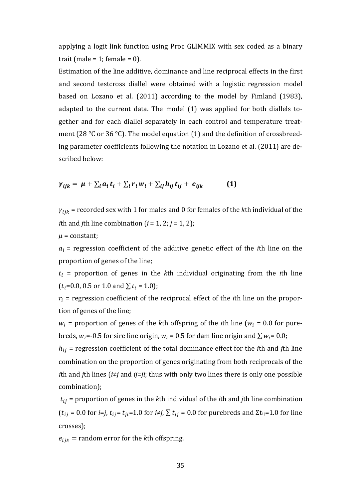applying a logit link function using Proc GLIMMIX with sex coded as a binary trait (male =  $1$ ; female =  $0$ ).

Estimation of the line additive, dominance and line reciprocal effects in the first and second testcross diallel were obtained with a logistic regression model based on Lozano et al. (2011) according to the model by Fimland (1983), adapted to the current data. The model (1) was applied for both diallels together and for each diallel separately in each control and temperature treatment (28 °C or 36 °C). The model equation (1) and the definition of crossbreeding parameter coefficients following the notation in Lozano et al. (2011) are described below:

$$
\gamma_{ijk} = \mu + \sum_i a_i t_i + \sum_i r_i w_i + \sum_{ij} h_{ij} t_{ij} + e_{ijk} \qquad (1)
$$

 $\gamma_{iik}$  = recorded sex with 1 for males and 0 for females of the *k*th individual of the *i*th and *j*th line combination  $(i = 1, 2; j = 1, 2)$ ;

$$
\mu = \text{constant};
$$

 $a_i$  = regression coefficient of the additive genetic effect of the *i*th line on the proportion of genes of the line;

 $t_i$  = proportion of genes in the *k*th individual originating from the *i*th line  $(t_i=0.0, 0.5 \text{ or } 1.0 \text{ and } \sum t_i = 1.0);$ 

 $r_i$  = regression coefficient of the reciprocal effect of the *i*th line on the proportion of genes of the line;

 $w_i$  = proportion of genes of the *k*th offspring of the *i*th line ( $w_i$  = 0.0 for purebreds,  $w_i$  = -0.5 for sire line origin,  $w_i$  = 0.5 for dam line origin and  $\sum w_i$  = 0.0;

 $h_{ij}$  = regression coefficient of the total dominance effect for the *i*th and *j*th line combination on the proportion of genes originating from both reciprocals of the *i*th and *j*th lines (*i*≠*j* and *ij*=*ji*; thus with only two lines there is only one possible combination);

 $t_{ij}$  = proportion of genes in the *k*th individual of the *i*th and *j*th line combination  $(t_{ij} = 0.0$  for *i=j*,  $t_{ij} = t_{ji} = 1.0$  for  $i \neq j$ ,  $\sum t_{ij} = 0.0$  for purebreds and  $\Sigma t_{ij} = 1.0$  for line crosses);

 $e_{ijk}$  = random error for the *k*th offspring.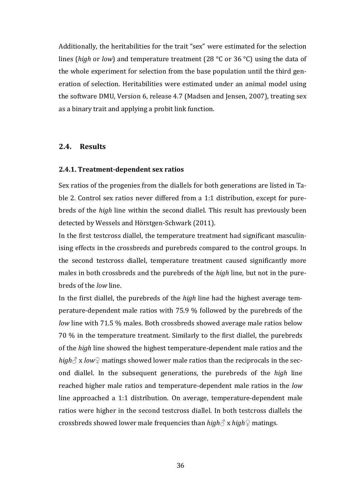Additionally, the heritabilities for the trait "sex" were estimated for the selection lines (*high* or *low*) and temperature treatment (28 °C or 36 °C) using the data of the whole experiment for selection from the base population until the third generation of selection. Heritabilities were estimated under an animal model using the software DMU, Version 6, release 4.7 (Madsen and Jensen, 2007), treating sex as a binary trait and applying a probit link function.

#### **2.4. Results**

#### **2.4.1. Treatment-dependent sex ratios**

Sex ratios of the progenies from the diallels for both generations are listed in [Ta](#page-44-0)[ble 2.](#page-44-0) Control sex ratios never differed from a 1:1 distribution, except for purebreds of the *high* line within the second diallel. This result has previously been detected by Wessels and Hörstgen-Schwark (2011).

In the first testcross diallel, the temperature treatment had significant masculinising effects in the crossbreds and purebreds compared to the control groups. In the second testcross diallel, temperature treatment caused significantly more males in both crossbreds and the purebreds of the *high* line, but not in the purebreds of the *low* line.

In the first diallel, the purebreds of the *high* line had the highest average temperature-dependent male ratios with 75.9 % followed by the purebreds of the *low* line with 71.5 % males. Both crossbreds showed average male ratios below 70 % in the temperature treatment. Similarly to the first diallel, the purebreds of the *high* line showed the highest temperature-dependent male ratios and the *high* $\triangle$  x *low* $\degree$  matings showed lower male ratios than the reciprocals in the second diallel. In the subsequent generations, the purebreds of the *high* line reached higher male ratios and temperature-dependent male ratios in the *low* line approached a 1:1 distribution. On average, temperature-dependent male ratios were higher in the second testcross diallel. In both testcross diallels the crossbreds showed lower male frequencies than *high♂* x *high♀* matings.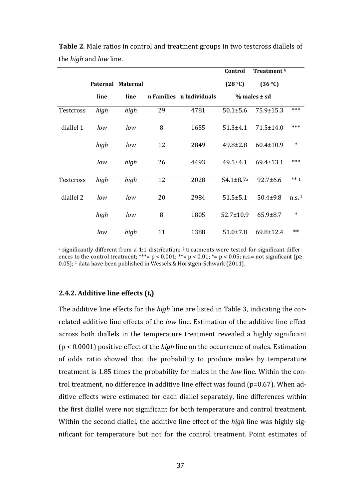|           |      |                   |    |                          | Control                     | Treatment §      |                     |
|-----------|------|-------------------|----|--------------------------|-----------------------------|------------------|---------------------|
|           |      | Paternal Maternal |    |                          | (28 °C)                     | (36 °C)          |                     |
|           | line | line              |    | n Families n Individuals |                             | $%$ males $±$ sd |                     |
| Testcross | high | high              | 29 | 4781                     | $50.1 \pm 5.6$              | $75.9 \pm 15.3$  | ***                 |
| diallel 1 | low  | low               | 8  | 1655                     | $51.3 \pm 4.1$              | $71.5 \pm 14.0$  | ***                 |
|           | high | low               | 12 | 2849                     | $49.8 \pm 2.8$              | $60.4 \pm 10.9$  | $\ast$              |
|           | low  | high              | 26 | 4493                     | $49.5 \pm 4.1$              | 69.4±13.1        | ***                 |
| Testcross | high | high              | 12 | 2028                     | $54.1 \pm 8.7$ <sup>a</sup> | $92.7 \pm 6.6$   | $** 1$              |
| diallel 2 | low  | low               | 20 | 2984                     | $51.5 \pm 5.1$              | $50.4 \pm 9.8$   | $n.s.$ <sup>1</sup> |
|           | high | low               | 8  | 1805                     | $52.7 \pm 10.9$             | $65.9 \pm 8.7$   | $\ast$              |
|           | low  | high              | 11 | 1388                     | $51.0 \pm 7.8$              | $69.8 \pm 12.4$  | $**$                |

<span id="page-44-0"></span>**Table 2**. Male ratios in control and treatment groups in two testcross diallels of the *high* and *low* line.

a significantly different from a 1:1 distribution; § treatments were tested for significant differences to the control treatment; \*\*\*=  $p < 0.001$ ; \*\*=  $p < 0.01$ ; \*=  $p < 0.05$ ; n.s.= not significant ( $p \ge$ 0.05); 1 data have been published in Wessels & Hörstgen-Schwark (2011).

#### **2.4.2. Additive line effects (***ti***)**

The additive line effects for the *high* line are listed in [Table 3,](#page-46-0) indicating the correlated additive line effects of the *low* line. Estimation of the additive line effect across both diallels in the temperature treatment revealed a highly significant (p < 0.0001) positive effect of the *high* line on the occurrence of males. Estimation of odds ratio showed that the probability to produce males by temperature treatment is 1.85 times the probability for males in the *low* line. Within the control treatment, no difference in additive line effect was found (p=0.67). When additive effects were estimated for each diallel separately, line differences within the first diallel were not significant for both temperature and control treatment. Within the second diallel, the additive line effect of the *high* line was highly significant for temperature but not for the control treatment. Point estimates of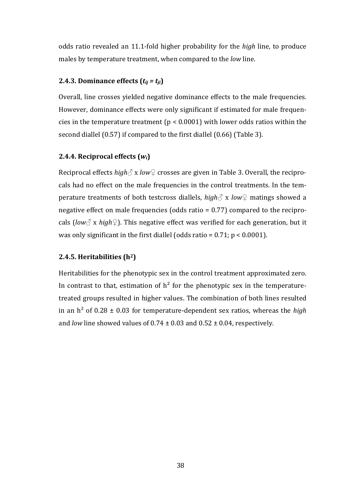odds ratio revealed an 11.1-fold higher probability for the *high* line, to produce males by temperature treatment, when compared to the *low* line.

## **2.4.3. Dominance effects**  $(t_{ii} = t_{ii})$

Overall, line crosses yielded negative dominance effects to the male frequencies. However, dominance effects were only significant if estimated for male frequencies in the temperature treatment ( $p < 0.0001$ ) with lower odds ratios within the second diallel (0.57) if compared to the first diallel (0.66) [\(Table 3\)](#page-46-0).

# **2.4.4. Reciprocal effects (***wi***)**

Reciprocal effects *high♂* x *low♀* crosses are given in [Table 3.](#page-46-0) Overall, the reciprocals had no effect on the male frequencies in the control treatments. In the temperature treatments of both testcross diallels, *high♂* x *low♀* matings showed a negative effect on male frequencies (odds ratio = 0.77) compared to the reciprocals (*low* $\Diamond$  x *high* $\Diamond$ ). This negative effect was verified for each generation, but it was only significant in the first diallel (odds ratio =  $0.71$ ; p <  $0.0001$ ).

# **2.4.5. Heritabilities (h2)**

Heritabilities for the phenotypic sex in the control treatment approximated zero. In contrast to that, estimation of  $h^2$  for the phenotypic sex in the temperaturetreated groups resulted in higher values. The combination of both lines resulted in an h² of 0.28 ± 0.03 for temperature-dependent sex ratios, whereas the *high* and *low* line showed values of  $0.74 \pm 0.03$  and  $0.52 \pm 0.04$ , respectively.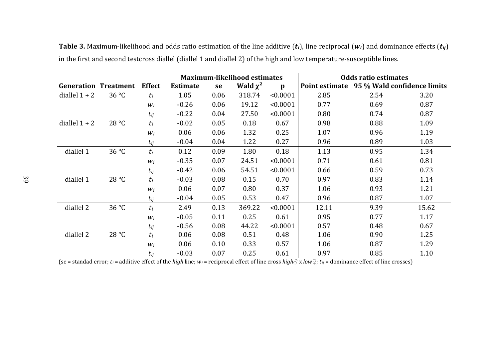|                 |                             |                 | <b>Maximum-likelihood estimates</b> |      |               | <b>Odds ratio estimates</b> |                                            |      |       |
|-----------------|-----------------------------|-----------------|-------------------------------------|------|---------------|-----------------------------|--------------------------------------------|------|-------|
|                 | <b>Generation Treatment</b> | <b>Effect</b>   | <b>Estimate</b>                     | se   | Wald $\chi^2$ | n                           | Point estimate 95 % Wald confidence limits |      |       |
| diallel $1 + 2$ | 36 °C                       | $t_i$           | 1.05                                | 0.06 | 318.74        | < 0.0001                    | 2.85                                       | 2.54 | 3.20  |
|                 |                             | Wi <sub>i</sub> | $-0.26$                             | 0.06 | 19.12         | < 0.0001                    | 0.77                                       | 0.69 | 0.87  |
|                 |                             | $t_{ij}$        | $-0.22$                             | 0.04 | 27.50         | < 0.0001                    | 0.80                                       | 0.74 | 0.87  |
| diallel $1 + 2$ | 28 °C                       | $t_i$           | $-0.02$                             | 0.05 | 0.18          | 0.67                        | 0.98                                       | 0.88 | 1.09  |
|                 |                             | $W_i$           | 0.06                                | 0.06 | 1.32          | 0.25                        | 1.07                                       | 0.96 | 1.19  |
|                 |                             | $t_{ij}$        | $-0.04$                             | 0.04 | 1.22          | 0.27                        | 0.96                                       | 0.89 | 1.03  |
| diallel 1       | $36^{\circ}$ C              | $t_i$           | 0.12                                | 0.09 | 1.80          | 0.18                        | 1.13                                       | 0.95 | 1.34  |
|                 |                             | $W_i$           | $-0.35$                             | 0.07 | 24.51         | < 0.0001                    | 0.71                                       | 0.61 | 0.81  |
|                 |                             | $t_{ij}$        | $-0.42$                             | 0.06 | 54.51         | < 0.0001                    | 0.66                                       | 0.59 | 0.73  |
| diallel 1       | 28 °C                       | $t_i$           | $-0.03$                             | 0.08 | 0.15          | 0.70                        | 0.97                                       | 0.83 | 1.14  |
|                 |                             | $W_i$           | 0.06                                | 0.07 | 0.80          | 0.37                        | 1.06                                       | 0.93 | 1.21  |
|                 |                             | $t_{ij}$        | $-0.04$                             | 0.05 | 0.53          | 0.47                        | 0.96                                       | 0.87 | 1.07  |
| diallel 2       | 36 °C                       | $t_i$           | 2.49                                | 0.13 | 369.22        | < 0.0001                    | 12.11                                      | 9.39 | 15.62 |
|                 |                             | $W_i$           | $-0.05$                             | 0.11 | 0.25          | 0.61                        | 0.95                                       | 0.77 | 1.17  |
|                 |                             | $t_{ij}$        | $-0.56$                             | 0.08 | 44.22         | < 0.0001                    | 0.57                                       | 0.48 | 0.67  |
| diallel 2       | 28 °C                       | $t_i$           | 0.06                                | 0.08 | 0.51          | 0.48                        | 1.06                                       | 0.90 | 1.25  |
|                 |                             | $W_i$           | 0.06                                | 0.10 | 0.33          | 0.57                        | 1.06                                       | 0.87 | 1.29  |
|                 |                             | $t_{ij}$        | $-0.03$                             | 0.07 | 0.25          | 0.61                        | 0.97                                       | 0.85 | 1.10  |

**Table 3.** Maximum-likelihood and odds ratio estimation of the line additive (*ti*), line reciprocal (*wi*) and dominance effects (*tij*) in the first and second testcross diallel (diallel 1 and diallel 2) of the high and low temperature-susceptible lines.

<span id="page-46-0"></span>(se = standad error;  $t_i$  = additive effect of the *high* line;  $w_i$  = reciprocal effect of line cross *high* $\partial$  x *low* $\partial$ ;  $t_{ij}$  = dominance effect of line crosses)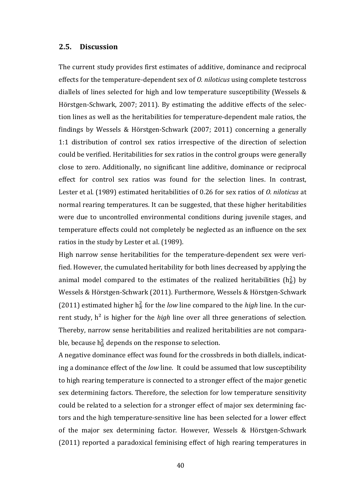#### **2.5. Discussion**

The current study provides first estimates of additive, dominance and reciprocal effects for the temperature-dependent sex of *O. niloticus* using complete testcross diallels of lines selected for high and low temperature susceptibility (Wessels & Hörstgen-Schwark, 2007; 2011). By estimating the additive effects of the selection lines as well as the heritabilities for temperature-dependent male ratios, the findings by Wessels & Hörstgen-Schwark (2007; 2011) concerning a generally 1:1 distribution of control sex ratios irrespective of the direction of selection could be verified. Heritabilities for sex ratios in the control groups were generally close to zero. Additionally, no significant line additive, dominance or reciprocal effect for control sex ratios was found for the selection lines. In contrast, Lester et al. (1989) estimated heritabilities of 0.26 for sex ratios of *O. niloticus* at normal rearing temperatures. It can be suggested, that these higher heritabilities were due to uncontrolled environmental conditions during juvenile stages, and temperature effects could not completely be neglected as an influence on the sex ratios in the study by Lester et al. (1989).

High narrow sense heritabilities for the temperature-dependent sex were verified. However, the cumulated heritability for both lines decreased by applying the animal model compared to the estimates of the realized heritabilities  $(h_R^2)$  by Wessels & Hörstgen-Schwark (2011). Furthermore, Wessels & Hörstgen-Schwark (2011) estimated higher  $h_R^2$  for the *low* line compared to the *high* line. In the current study, h<sup>2</sup> is higher for the *high* line over all three generations of selection. Thereby, narrow sense heritabilities and realized heritabilities are not comparable, because  $h_R^2$  depends on the response to selection.

A negative dominance effect was found for the crossbreds in both diallels, indicating a dominance effect of the *low* line. It could be assumed that low susceptibility to high rearing temperature is connected to a stronger effect of the major genetic sex determining factors. Therefore, the selection for low temperature sensitivity could be related to a selection for a stronger effect of major sex determining factors and the high temperature-sensitive line has been selected for a lower effect of the major sex determining factor. However, Wessels & Hörstgen-Schwark (2011) reported a paradoxical feminising effect of high rearing temperatures in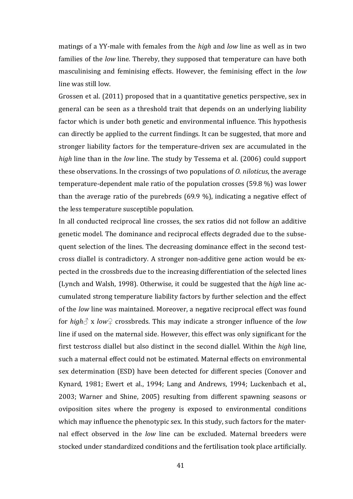matings of a YY-male with females from the *high* and *low* line as well as in two families of the *low* line. Thereby, they supposed that temperature can have both masculinising and feminising effects. However, the feminising effect in the *low* line was still low.

Grossen et al. (2011) proposed that in a quantitative genetics perspective, sex in general can be seen as a threshold trait that depends on an underlying liability factor which is under both genetic and environmental influence. This hypothesis can directly be applied to the current findings. It can be suggested, that more and stronger liability factors for the temperature-driven sex are accumulated in the *high* line than in the *low* line. The study by Tessema et al. (2006) could support these observations. In the crossings of two populations of *O. niloticus*, the average temperature-dependent male ratio of the population crosses (59.8 %) was lower than the average ratio of the purebreds (69.9 %), indicating a negative effect of the less temperature susceptible population.

In all conducted reciprocal line crosses, the sex ratios did not follow an additive genetic model. The dominance and reciprocal effects degraded due to the subsequent selection of the lines. The decreasing dominance effect in the second testcross diallel is contradictory. A stronger non-additive gene action would be expected in the crossbreds due to the increasing differentiation of the selected lines (Lynch and Walsh, 1998). Otherwise, it could be suggested that the *high* line accumulated strong temperature liability factors by further selection and the effect of the *low* line was maintained. Moreover, a negative reciprocal effect was found for *high♂* x *low♀* crossbreds. This may indicate a stronger influence of the *low* line if used on the maternal side. However, this effect was only significant for the first testcross diallel but also distinct in the second diallel. Within the *high* line, such a maternal effect could not be estimated. Maternal effects on environmental sex determination (ESD) have been detected for different species (Conover and Kynard, 1981; Ewert et al., 1994; Lang and Andrews, 1994; Luckenbach et al., 2003; Warner and Shine, 2005) resulting from different spawning seasons or oviposition sites where the progeny is exposed to environmental conditions which may influence the phenotypic sex. In this study, such factors for the maternal effect observed in the *low* line can be excluded. Maternal breeders were stocked under standardized conditions and the fertilisation took place artificially.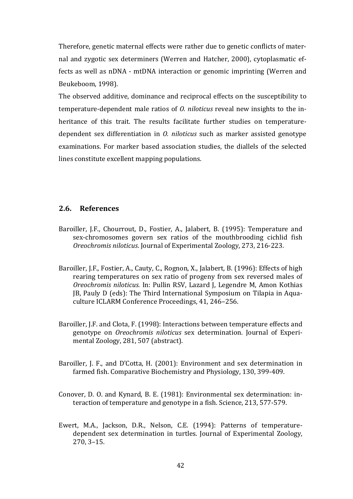Therefore, genetic maternal effects were rather due to genetic conflicts of maternal and zygotic sex determiners (Werren and Hatcher, 2000), cytoplasmatic effects as well as nDNA - mtDNA interaction or genomic imprinting (Werren and Beukeboom, 1998).

The observed additive, dominance and reciprocal effects on the susceptibility to temperature-dependent male ratios of *O. niloticus* reveal new insights to the inheritance of this trait. The results facilitate further studies on temperaturedependent sex differentiation in *O. niloticus* such as marker assisted genotype examinations. For marker based association studies, the diallels of the selected lines constitute excellent mapping populations.

### **2.6. References**

- Baroiller, J.F., Chourrout, D., Fostier, A., Jalabert, B. (1995): Temperature and sex-chromosomes govern sex ratios of the mouthbrooding cichlid fish *Oreochromis niloticus*. Journal of Experimental Zoology, 273, 216-223.
- Baroiller, J.F., Fostier, A., Cauty, C., Rognon, X., Jalabert, B. (1996): Effects of high rearing temperatures on sex ratio of progeny from sex reversed males of *Oreochromis niloticus.* In: Pullin RSV, Lazard J, Legendre M, Amon Kothias JB, Pauly D (eds): The Third International Symposium on Tilapia in Aquaculture ICLARM Conference Proceedings, 41, 246–256.
- Baroiller, J.F. and Clota, F. (1998): Interactions between temperature effects and genotype on *Oreochromis niloticus* sex determination. Journal of Experimental Zoology, 281, 507 (abstract).
- Baroiller, J. F., and D'Cotta, H. (2001): Environment and sex determination in farmed fish. Comparative Biochemistry and Physiology, 130, 399-409.
- Conover, D. O. and Kynard, B. E. (1981): Environmental sex determination: interaction of temperature and genotype in a fish. Science, 213, 577-579.
- Ewert, M.A., Jackson, D.R., Nelson, C.E. (1994): Patterns of temperaturedependent sex determination in turtles. Journal of Experimental Zoology, 270, 3–15.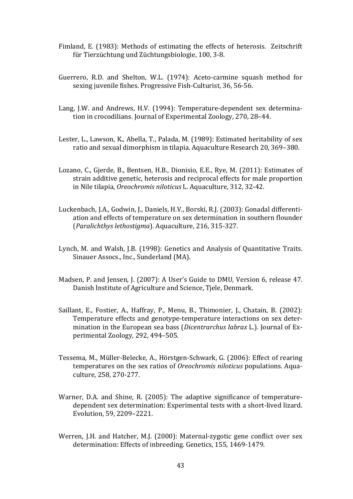- Fimland, E. (1983): Methods of estimating the effects of heterosis. Zeitschrift für Tierzüchtung und Züchtungsbiologie, 100, 3-8.
- Guerrero, R.D. and Shelton, W.L. (1974): Aceto-carmine squash method for sexing juvenile fishes. Progressive Fish-Culturist, 36, 56-56.
- Lang, J.W. and Andrews, H.V. (1994): Temperature-dependent sex determination in crocodilians. Journal of Experimental Zoology, 270, 28–44.
- Lester, L., Lawson, K., Abella, T., Palada, M. (1989): Estimated heritability of sex ratio and sexual dimorphism in tilapia. Aquaculture Research 20, 369–380.
- Lozano, C., Gjerde, B., Bentsen, H.B., Dionisio, E.E., Rye, M. (2011): Estimates of strain additive genetic, heterosis and reciprocal effects for male proportion in Nile tilapia, *Oreochromis niloticus* L. Aquaculture, 312, 32-42.
- Luckenbach, J.A., Godwin, J., Daniels, H.V., Borski, R.J. (2003): Gonadal differentiation and effects of temperature on sex determination in southern flounder (*Paralichthys lethostigma*). Aquaculture, 216, 315-327.
- Lynch, M. and Walsh, J.B. (1998): Genetics and Analysis of Quantitative Traits. Sinauer Assocs., Inc., Sunderland (MA).
- Madsen, P. and Jensen, J. (2007): A User's Guide to DMU, Version 6, release 47. Danish Institute of Agriculture and Science, Tjele, Denmark.
- Saillant, E., Fostier, A., Haffray, P., Menu, B., Thimonier, J., Chatain, B. (2002): Temperature effects and genotype-temperature interactions on sex determination in the European sea bass (*Dicentrarchus labrax* L.). Journal of Experimental Zoology, 292, 494–505.
- Tessema, M., Müller-Belecke, A., Hörstgen-Schwark, G. (2006): Effect of rearing temperatures on the sex ratios of *Oreochromis niloticus* populations. Aquaculture, 258, 270-277.
- Warner, D.A. and Shine, R. (2005): The adaptive significance of temperaturedependent sex determination: Experimental tests with a short-lived lizard. Evolution, 59, 2209–2221.
- Werren, J.H. and Hatcher, M.J. (2000): Maternal-zygotic gene conflict over sex determination: Effects of inbreeding. Genetics, 155, 1469-1479.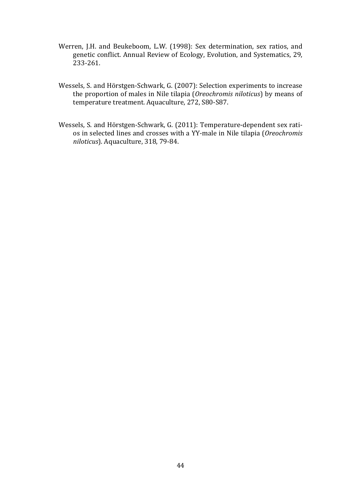- Werren, J.H. and Beukeboom, L.W. (1998): Sex determination, sex ratios, and genetic conflict. Annual Review of Ecology, Evolution, and Systematics, 29, 233-261.
- Wessels, S. and Hörstgen-Schwark, G. (2007): Selection experiments to increase the proportion of males in Nile tilapia (*Oreochromis niloticus*) by means of temperature treatment. Aquaculture, 272, S80-S87.
- Wessels, S. and Hörstgen-Schwark, G. (2011): Temperature-dependent sex ratios in selected lines and crosses with a YY-male in Nile tilapia (*Oreochromis niloticus*). Aquaculture, 318, 79-84.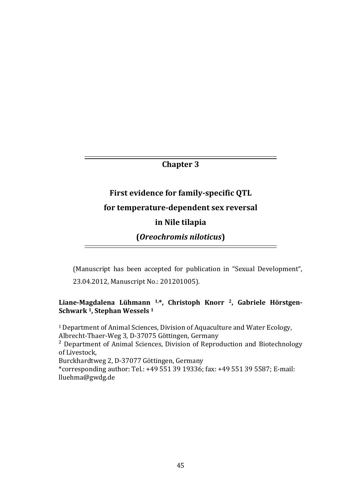# **Chapter 3**

# **First evidence for family-specific QTL for temperature-dependent sex reversal in Nile tilapia**

**(***Oreochromis niloticus***)** 

(Manuscript has been accepted for publication in "Sexual Development", 23.04.2012, Manuscript No.: 201201005).

# **Liane-Magdalena Lühmann 1,\*, Christoph Knorr 2, Gabriele Hörstgen-Schwark 1, Stephan Wessels 1**

1 Department of Animal Sciences, Division of Aquaculture and Water Ecology, Albrecht-Thaer-Weg 3, D-37075 Göttingen, Germany <sup>2</sup> Department of Animal Sciences, Division of Reproduction and Biotechnology of Livestock, Burckhardtweg 2, D-37077 Göttingen, Germany \*corresponding author: Tel.: +49 551 39 19336; fax: +49 551 39 5587; E-mail: lluehma@gwdg.de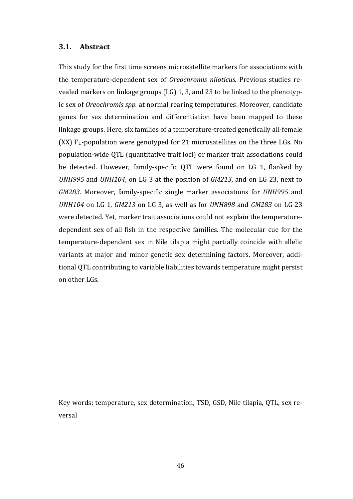#### **3.1. Abstract**

This study for the first time screens microsatellite markers for associations with the temperature-dependent sex of *Oreochromis niloticus*. Previous studies revealed markers on linkage groups (LG) 1, 3, and 23 to be linked to the phenotypic sex of *Oreochromis spp.* at normal rearing temperatures. Moreover, candidate genes for sex determination and differentiation have been mapped to these linkage groups. Here, six families of a temperature-treated genetically all-female  $(XX)$  F<sub>1</sub>-population were genotyped for 21 microsatellites on the three LGs. No population-wide QTL (quantitative trait loci) or marker trait associations could be detected. However, family-specific QTL were found on LG 1, flanked by *UNH995* and *UNH104*, on LG 3 at the position of *GM213*, and on LG 23, next to *GM283*. Moreover, family-specific single marker associations for *UNH995* and *UNH104* on LG 1, *GM213* on LG 3, as well as for *UNH898* and *GM283* on LG 23 were detected. Yet, marker trait associations could not explain the temperaturedependent sex of all fish in the respective families. The molecular cue for the temperature-dependent sex in Nile tilapia might partially coincide with allelic variants at major and minor genetic sex determining factors. Moreover, additional QTL contributing to variable liabilities towards temperature might persist on other LGs.

Key words: temperature, sex determination, TSD, GSD, Nile tilapia, QTL, sex reversal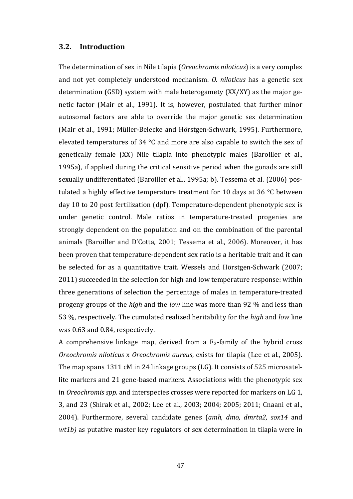#### **3.2. Introduction**

The determination of sex in Nile tilapia (*Oreochromis niloticus*) is a very complex and not yet completely understood mechanism. *O. niloticus* has a genetic sex determination (GSD) system with male heterogamety (XX/XY) as the major genetic factor (Mair et al., 1991). It is, however, postulated that further minor autosomal factors are able to override the major genetic sex determination (Mair et al., 1991; Müller-Belecke and Hörstgen-Schwark, 1995). Furthermore, elevated temperatures of 34 °C and more are also capable to switch the sex of genetically female (XX) Nile tilapia into phenotypic males (Baroiller et al., 1995a), if applied during the critical sensitive period when the gonads are still sexually undifferentiated (Baroiller et al., 1995a; b). Tessema et al. (2006) postulated a highly effective temperature treatment for 10 days at 36 °C between day 10 to 20 post fertilization (dpf). Temperature-dependent phenotypic sex is under genetic control. Male ratios in temperature-treated progenies are strongly dependent on the population and on the combination of the parental animals (Baroiller and D'Cotta, 2001; Tessema et al., 2006). Moreover, it has been proven that temperature-dependent sex ratio is a heritable trait and it can be selected for as a quantitative trait. Wessels and Hörstgen-Schwark (2007; 2011) succeeded in the selection for high and low temperature response: within three generations of selection the percentage of males in temperature-treated progeny groups of the *high* and the *low* line was more than 92 % and less than 53 %, respectively. The cumulated realized heritability for the *high* and *low* line was 0.63 and 0.84, respectively.

A comprehensive linkage map, derived from a  $F_2$ -family of the hybrid cross *Oreochromis niloticus* x *Oreochromis aureus*, exists for tilapia (Lee et al., 2005). The map spans 1311 cM in 24 linkage groups (LG). It consists of 525 microsatellite markers and 21 gene-based markers. Associations with the phenotypic sex in *Oreochromis spp*. and interspecies crosses were reported for markers on LG 1, 3, and 23 (Shirak et al., 2002; Lee et al., 2003; 2004; 2005; 2011; Cnaani et al., 2004). Furthermore, several candidate genes (*amh, dmo, dmrta2, sox14* and *wt1b)* as putative master key regulators of sex determination in tilapia were in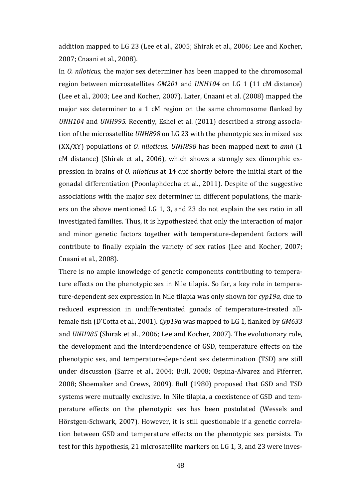addition mapped to LG 23 (Lee et al., 2005; Shirak et al., 2006; Lee and Kocher, 2007; Cnaani et al., 2008).

In *O. niloticus,* the major sex determiner has been mapped to the chromosomal region between microsatellites *GM201* and *UNH104* on LG 1 (11 cM distance) (Lee et al., 2003; Lee and Kocher, 2007). Later, Cnaani et al. (2008) mapped the major sex determiner to a 1 cM region on the same chromosome flanked by *UNH104* and *UNH995.* Recently, Eshel et al. (2011) described a strong association of the microsatellite *UNH898* on LG 23 with the phenotypic sex in mixed sex (XX/XY) populations of *O. niloticu*s. *UNH898* has been mapped next to *amh* (1 cM distance) (Shirak et al., 2006), which shows a strongly sex dimorphic expression in brains of *O. niloticus* at 14 dpf shortly before the initial start of the gonadal differentiation (Poonlaphdecha et al., 2011). Despite of the suggestive associations with the major sex determiner in different populations, the markers on the above mentioned LG 1, 3, and 23 do not explain the sex ratio in all investigated families. Thus, it is hypothesized that only the interaction of major and minor genetic factors together with temperature-dependent factors will contribute to finally explain the variety of sex ratios (Lee and Kocher, 2007; Cnaani et al., 2008).

There is no ample knowledge of genetic components contributing to temperature effects on the phenotypic sex in Nile tilapia. So far, a key role in temperature-dependent sex expression in Nile tilapia was only shown for *cyp19a,* due to reduced expression in undifferentiated gonads of temperature-treated allfemale fish (D'Cotta et al., 2001). *Cyp19a* was mapped to LG 1, flanked by *GM633* and *UNH985* (Shirak et al., 2006; Lee and Kocher, 2007)*.* The evolutionary role, the development and the interdependence of GSD, temperature effects on the phenotypic sex, and temperature-dependent sex determination (TSD) are still under discussion (Sarre et al., 2004; Bull, 2008; Ospina-Alvarez and Piferrer, 2008; Shoemaker and Crews, 2009). Bull (1980) proposed that GSD and TSD systems were mutually exclusive. In Nile tilapia, a coexistence of GSD and temperature effects on the phenotypic sex has been postulated (Wessels and Hörstgen-Schwark, 2007). However, it is still questionable if a genetic correlation between GSD and temperature effects on the phenotypic sex persists. To test for this hypothesis, 21 microsatellite markers on LG 1, 3, and 23 were inves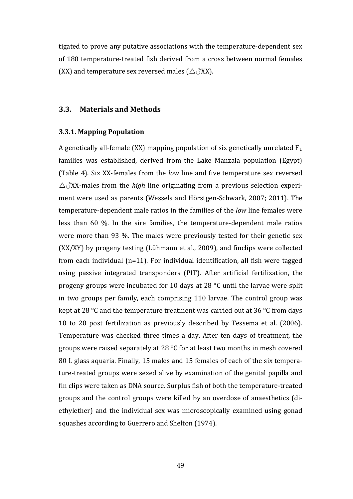tigated to prove any putative associations with the temperature-dependent sex of 180 temperature-treated fish derived from a cross between normal females (XX) and temperature sex reversed males ( $\triangle \triangle XX$ ).

#### **3.3. Materials and Methods**

#### **3.3.1. Mapping Population**

A genetically all-female (XX) mapping population of six genetically unrelated  $F_1$ families was established, derived from the Lake Manzala population (Egypt) (Table 4). Six XX-females from the *low* line and five temperature sex reversed  $\triangle$  $\triangle$ XX-males from the *high* line originating from a previous selection experiment were used as parents (Wessels and Hörstgen-Schwark, 2007; 2011). The temperature-dependent male ratios in the families of the *low* line females were less than 60 %. In the sire families, the temperature-dependent male ratios were more than 93 %. The males were previously tested for their genetic sex (XX/XY) by progeny testing (Lühmann et al., 2009), and finclips were collected from each individual (n=11). For individual identification, all fish were tagged using passive integrated transponders (PIT). After artificial fertilization, the progeny groups were incubated for 10 days at 28 °C until the larvae were split in two groups per family, each comprising 110 larvae. The control group was kept at 28 °C and the temperature treatment was carried out at 36 °C from days 10 to 20 post fertilization as previously described by Tessema et al. (2006). Temperature was checked three times a day. After ten days of treatment, the groups were raised separately at 28 °C for at least two months in mesh covered 80 L glass aquaria. Finally, 15 males and 15 females of each of the six temperature-treated groups were sexed alive by examination of the genital papilla and fin clips were taken as DNA source. Surplus fish of both the temperature-treated groups and the control groups were killed by an overdose of anaesthetics (diethylether) and the individual sex was microscopically examined using gonad squashes according to Guerrero and Shelton (1974).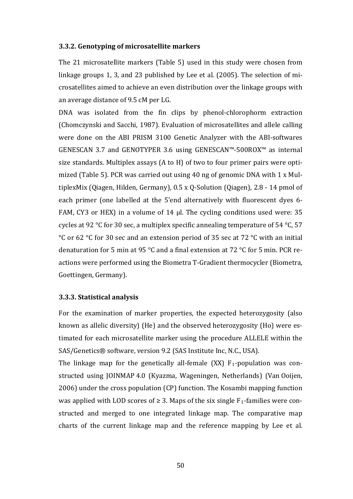#### **3.3.2. Genotyping of microsatellite markers**

The 21 microsatellite markers (Table 5) used in this study were chosen from linkage groups 1, 3, and 23 published by Lee et al. (2005). The selection of microsatellites aimed to achieve an even distribution over the linkage groups with an average distance of 9.5 cM per LG.

DNA was isolated from the fin clips by phenol-chlorophorm extraction (Chomczynski and Sacchi, 1987). Evaluation of microsatellites and allele calling were done on the ABI PRISM 3100 Genetic Analyzer with the ABI-softwares GENESCAN 3.7 and GENOTYPER 3.6 using GENESCAN™-500ROX™ as internal size standards. Multiplex assays (A to H) of two to four primer pairs were optimized (Table 5). PCR was carried out using 40 ng of genomic DNA with 1 x MultiplexMix (Qiagen, Hilden, Germany), 0.5 x Q-Solution (Qiagen), 2.8 - 14 pmol of each primer (one labelled at the 5'end alternatively with fluorescent dyes 6- FAM, CY3 or HEX) in a volume of 14 µl. The cycling conditions used were: 35 cycles at 92 °C for 30 sec, a multiplex specific annealing temperature of 54 °C, 57 °C or 62 °C for 30 sec and an extension period of 35 sec at 72 °C with an initial denaturation for 5 min at 95 °C and a final extension at 72 °C for 5 min. PCR reactions were performed using the Biometra T-Gradient thermocycler (Biometra, Goettingen, Germany).

#### **3.3.3. Statistical analysis**

For the examination of marker properties, the expected heterozygosity (also known as allelic diversity) (He) and the observed heterozygosity (Ho) were estimated for each microsatellite marker using the procedure ALLELE within the SAS/Genetics® software, version 9.2 (SAS Institute Inc, N.C., USA).

The linkage map for the genetically all-female  $(XX)$   $F_1$ -population was constructed using JOINMAP 4.0 (Kyazma, Wageningen, Netherlands) (Van Ooijen, 2006) under the cross population (CP) function. The Kosambi mapping function was applied with LOD scores of  $\geq 3$ . Maps of the six single F<sub>1</sub>-families were constructed and merged to one integrated linkage map. The comparative map charts of the current linkage map and the reference mapping by Lee et al.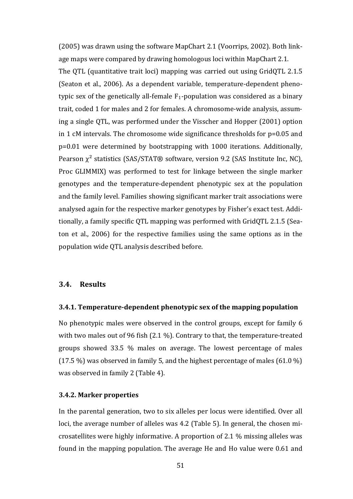(2005) was drawn using the software MapChart 2.1 (Voorrips, 2002). Both linkage maps were compared by drawing homologous loci within MapChart 2.1.

The QTL (quantitative trait loci) mapping was carried out using GridQTL 2.1.5 (Seaton et al., 2006). As a dependent variable, temperature-dependent phenotypic sex of the genetically all-female  $F_1$ -population was considered as a binary trait, coded 1 for males and 2 for females. A chromosome-wide analysis, assuming a single QTL, was performed under the Visscher and Hopper (2001) option in 1 cM intervals. The chromosome wide significance thresholds for p=0.05 and p=0.01 were determined by bootstrapping with 1000 iterations. Additionally, Pearson  $χ²$  statistics (SAS/STAT® software, version 9.2 (SAS Institute Inc, NC), Proc GLIMMIX) was performed to test for linkage between the single marker genotypes and the temperature-dependent phenotypic sex at the population and the family level. Families showing significant marker trait associations were analysed again for the respective marker genotypes by Fisher's exact test. Additionally, a family specific QTL mapping was performed with GridQTL 2.1.5 (Seaton et al., 2006) for the respective families using the same options as in the population wide QTL analysis described before.

#### **3.4. Results**

#### **3.4.1. Temperature-dependent phenotypic sex of the mapping population**

No phenotypic males were observed in the control groups, except for family 6 with two males out of 96 fish (2.1 %). Contrary to that, the temperature-treated groups showed 33.5 % males on average. The lowest percentage of males (17.5 %) was observed in family 5, and the highest percentage of males (61.0 %) was observed in family 2 (Table 4).

#### **3.4.2. Marker properties**

In the parental generation, two to six alleles per locus were identified. Over all loci, the average number of alleles was 4.2 (Table 5). In general, the chosen microsatellites were highly informative. A proportion of 2.1 % missing alleles was found in the mapping population. The average He and Ho value were 0.61 and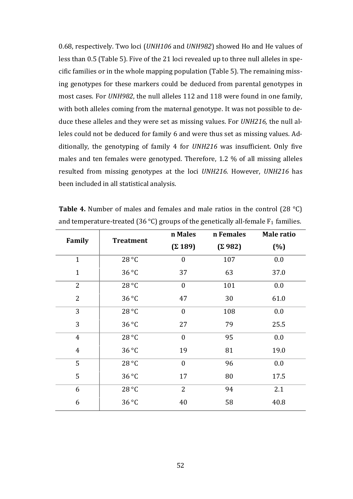0.68, respectively. Two loci (*UNH106* and *UNH982*) showed Ho and He values of less than 0.5 (Table 5). Five of the 21 loci revealed up to three null alleles in specific families or in the whole mapping population (Table 5). The remaining missing genotypes for these markers could be deduced from parental genotypes in most cases. For *UNH982*, the null alleles 112 and 118 were found in one family, with both alleles coming from the maternal genotype. It was not possible to deduce these alleles and they were set as missing values. For *UNH216,* the null alleles could not be deduced for family 6 and were thus set as missing values. Additionally, the genotyping of family 4 for *UNH216* was insufficient. Only five males and ten females were genotyped. Therefore, 1.2 % of all missing alleles resulted from missing genotypes at the loci *UNH216.* However, *UNH216* has been included in all statistical analysis.

|                | <b>Treatment</b> | n Males          | n Females      | Male ratio |
|----------------|------------------|------------------|----------------|------------|
| Family         |                  | $(\Sigma 189)$   | $(\Sigma 982)$ | (%)        |
| $\mathbf{1}$   | 28 °C            | $\boldsymbol{0}$ | 107            | 0.0        |
| $\mathbf{1}$   | 36 °C            | 37               | 63             | 37.0       |
| $\overline{2}$ | 28 °C            | $\boldsymbol{0}$ | 101            | 0.0        |
| $\overline{2}$ | 36 °C            | 47               | 30             | 61.0       |
| 3              | 28 °C            | $\boldsymbol{0}$ | 108            | 0.0        |
| 3              | 36 °C            | 27               | 79             | 25.5       |
| $\overline{4}$ | 28 °C            | $\boldsymbol{0}$ | 95             | 0.0        |
| $\overline{4}$ | 36 °C            | 19               | 81             | 19.0       |
| 5              | 28 °C            | $\overline{0}$   | 96             | 0.0        |
| 5              | 36 °C            | 17               | 80             | 17.5       |
| 6              | 28 °C            | $\overline{2}$   | 94             | 2.1        |
| 6              | 36 °C            | 40               | 58             | 40.8       |

**Table 4.** Number of males and females and male ratios in the control (28 °C) and temperature-treated (36 °C) groups of the genetically all-female  $F_1$  families.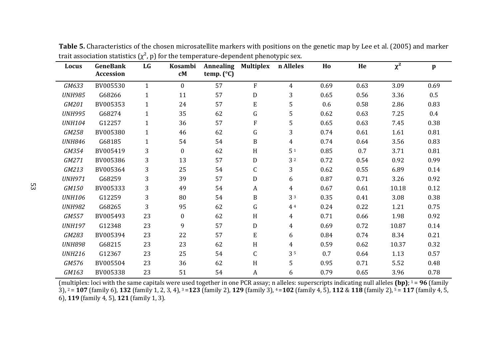| Locus         | <b>GeneBank</b> | LG           | <b>Kosambi</b>   | <b>Annealing</b>    | <b>Multiplex</b>          | n Alleles      | Ho   | He   | $\chi^2$ | $\mathbf{p}$ |
|---------------|-----------------|--------------|------------------|---------------------|---------------------------|----------------|------|------|----------|--------------|
|               | Accession       |              | cM               | temp. $(^{\circ}C)$ |                           |                |      |      |          |              |
| GM633         | BV005530        | $\mathbf{1}$ | $\mathbf{0}$     | 57                  | ${\bf F}$                 | $\overline{4}$ | 0.69 | 0.63 | 3.09     | 0.69         |
| <b>UNH985</b> | G68266          | $\mathbf{1}$ | 11               | 57                  | ${\rm D}$                 | 3              | 0.65 | 0.56 | 3.36     | $0.5\,$      |
| GM201         | BV005353        | $\mathbf{1}$ | 24               | 57                  | ${\bf E}$                 | 5              | 0.6  | 0.58 | 2.86     | 0.83         |
| <b>UNH995</b> | G68274          | $\mathbf{1}$ | 35               | 62                  | G                         | 5              | 0.62 | 0.63 | 7.25     | $0.4\,$      |
| <b>UNH104</b> | G12257          | $\mathbf{1}$ | 36               | 57                  | F                         | 5              | 0.65 | 0.63 | 7.45     | 0.38         |
| GM258         | BV005380        | $\mathbf{1}$ | 46               | 62                  | ${\bf G}$                 | 3              | 0.74 | 0.61 | 1.61     | 0.81         |
| <b>UNH846</b> | G68185          | $\mathbf{1}$ | 54               | 54                  | $\mathbf B$               | $\overline{4}$ | 0.74 | 0.64 | 3.56     | 0.83         |
| GM354         | BV005419        | 3            | $\mathbf{0}$     | 62                  | $\, {\rm H}$              | 5 <sup>1</sup> | 0.85 | 0.7  | 3.71     | 0.81         |
| GM271         | BV005386        | 3            | 13               | 57                  | D                         | 3 <sup>2</sup> | 0.72 | 0.54 | 0.92     | 0.99         |
| GM213         | BV005364        | 3            | 25               | 54                  | C                         | 3              | 0.62 | 0.55 | 6.89     | 0.14         |
| <b>UNH971</b> | G68259          | 3            | 39               | 57                  | ${\bf D}$                 | 6              | 0.87 | 0.71 | 3.26     | 0.92         |
| GM150         | BV005333        | 3            | 49               | 54                  | A                         | $\overline{4}$ | 0.67 | 0.61 | 10.18    | 0.12         |
| <b>UNH106</b> | G12259          | 3            | 80               | 54                  | $\mathbf B$               | 3 3            | 0.35 | 0.41 | 3.08     | 0.38         |
| <b>UNH982</b> | G68265          | 3            | 95               | 62                  | $\mathsf G$               | 4 4            | 0.24 | 0.22 | 1.21     | 0.75         |
| GM557         | BV005493        | 23           | $\boldsymbol{0}$ | 62                  | H                         | 4              | 0.71 | 0.66 | 1.98     | 0.92         |
| <b>UNH197</b> | G12348          | 23           | 9                | 57                  | D                         | $\overline{4}$ | 0.69 | 0.72 | 10.87    | 0.14         |
| GM283         | BV005394        | 23           | 22               | 57                  | ${\bf E}$                 | 6              | 0.84 | 0.74 | 8.34     | 0.21         |
| <b>UNH898</b> | G68215          | 23           | 23               | 62                  | $\boldsymbol{\mathrm{H}}$ | $\overline{4}$ | 0.59 | 0.62 | 10.37    | 0.32         |
| <b>UNH216</b> | G12367          | 23           | 25               | 54                  | $\mathsf C$               | 35             | 0.7  | 0.64 | 1.13     | 0.57         |
| GM576         | BV005504        | 23           | 36               | 62                  | H                         | 5              | 0.95 | 0.71 | 5.52     | 0.48         |
| GM163         | BV005338        | 23           | 51               | 54                  | A                         | 6              | 0.79 | 0.65 | 3.96     | 0.78         |

**Table 5.** Characteristics of the chosen microsatellite markers with positions on the genetic map by Lee et al. (2005) and marker trait association statistics  $(\chi^2, p)$  for the temperature-dependent phenotypic sex.

(multiplex: loci with the same capitals were used together in one PCR assay; n alleles: superscripts indicating null alleles (bp);  $1 = 96$  (family 3), 2 = **107** (family 6), **132** (family 1, 2, 3, 4), 3 =**123** (family 2), **129** (family 3), 4 =**102** (family 4, 5), **112** & **118** (family 2), 5 = **117** (family 4, 5, 6), **119** (family 4, 5), **121** (family 1, 3).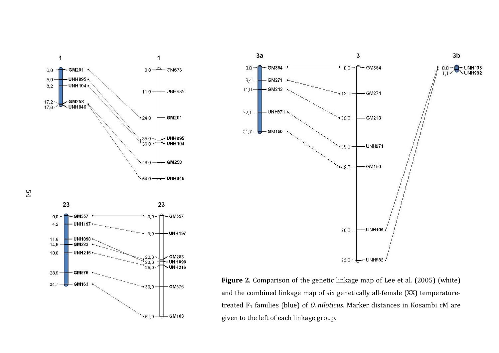



given to the left of each linkage group. **Figure 2**. Comparison of the genetic linkage map of Lee et al. (2005) (white) and the combined linkage map of six genetically all-female (XX) temperaturetreated F1 families (blue) of *O. niloticus*. Marker distances in Kosambi cM are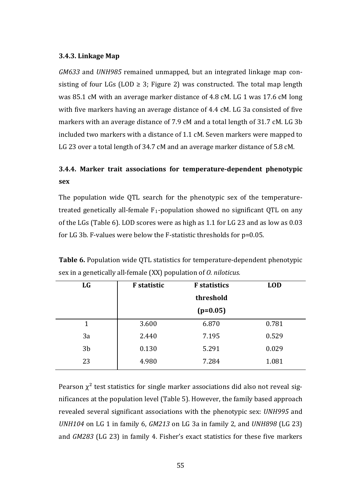#### **3.4.3. Linkage Map**

*GM633* and *UNH985* remained unmapped, but an integrated linkage map consisting of four LGs (LOD  $\geq$  3; Figure 2) was constructed. The total map length was 85.1 cM with an average marker distance of 4.8 cM. LG 1 was 17.6 cM long with five markers having an average distance of 4.4 cM. LG 3a consisted of five markers with an average distance of 7.9 cM and a total length of 31.7 cM. LG 3b included two markers with a distance of 1.1 cM. Seven markers were mapped to LG 23 over a total length of 34.7 cM and an average marker distance of 5.8 cM.

# **3.4.4. Marker trait associations for temperature-dependent phenotypic sex**

The population wide QTL search for the phenotypic sex of the temperaturetreated genetically all-female  $F_1$ -population showed no significant QTL on any of the LGs (Table 6). LOD scores were as high as 1.1 for LG 23 and as low as 0.03 for LG 3b. F-values were below the F-statistic thresholds for p=0.05.

| <b>LG</b>      | <b>F</b> statistic | <b>LOD</b> |       |
|----------------|--------------------|------------|-------|
|                |                    |            |       |
|                |                    | $(p=0.05)$ |       |
| 1              | 3.600              | 6.870      | 0.781 |
| 3a             | 2.440              | 7.195      | 0.529 |
| 3 <sub>b</sub> | 0.130              | 5.291      | 0.029 |
| 23             | 4.980              | 7.284      | 1.081 |

**Table 6.** Population wide QTL statistics for temperature-dependent phenotypic sex in a genetically all-female (XX) population of *O. niloticus.*

Pearson  $\chi^2$  test statistics for single marker associations did also not reveal significances at the population level (Table 5). However, the family based approach revealed several significant associations with the phenotypic sex: *UNH995* and *UNH104* on LG 1 in family 6, *GM213* on LG 3a in family 2, and *UNH898* (LG 23) and *GM283* (LG 23) in family 4. Fisher's exact statistics for these five markers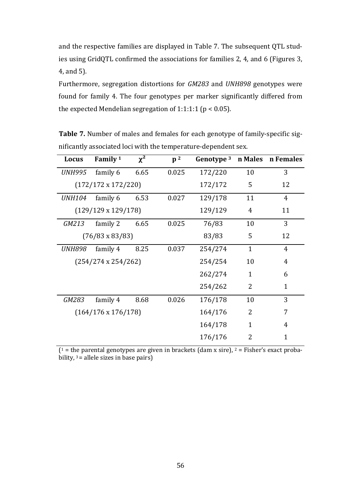and the respective families are displayed in Table 7. The subsequent QTL studies using GridQTL confirmed the associations for families 2, 4, and 6 (Figures 3, 4, and 5).

Furthermore, segregation distortions for *GM283* and *UNH898* genotypes were found for family 4. The four genotypes per marker significantly differed from the expected Mendelian segregation of 1:1:1:1 ( $p < 0.05$ ).

Locus **Family**<sup>1</sup>  $\chi^2$  **p**<sup>2</sup> **Genotype**<sup>3</sup> **n** Males **n** Females *UNH995* family 6 6.65 0.025 172/220 10 3 (172/172 x 172/220) 172/172 5 12 *UNH104* family 6 6.53 0.027 129/178 11 4  $(129/129 \times 129/178)$  129/129 4 11 *GM213* family 2 6.65 0.025 76/83 10 3  $(76/83 \times 83/83)$  83/83 5 12 *UNH898* family 4 8.25 0.037 254/274 1 4 (254/274 x 254/262) 254/254 10 4 262/274 1 6 254/262 2 1 *GM283* family 4 8.68 0.026 176/178 10 3 (164/176 x 176/178) 164/176 2 7 164/178 1 4 176/176 2 1

**Table 7.** Number of males and females for each genotype of family-specific significantly associated loci with the temperature-dependent sex.

 $(1 =$  the parental genotypes are given in brackets (dam x sire),  $2 =$  Fisher's exact probability,  $3 =$  allele sizes in base pairs)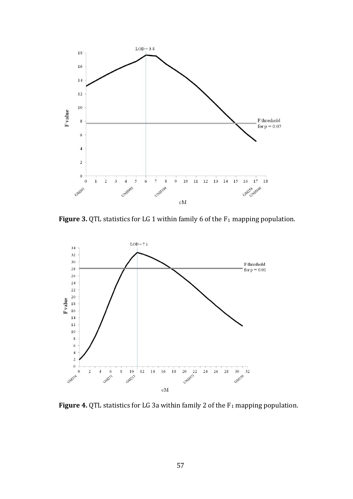

Figure 3. QTL statistics for LG 1 within family 6 of the F<sub>1</sub> mapping population.



**Figure 4.** QTL statistics for LG 3a within family 2 of the F<sub>1</sub> mapping population.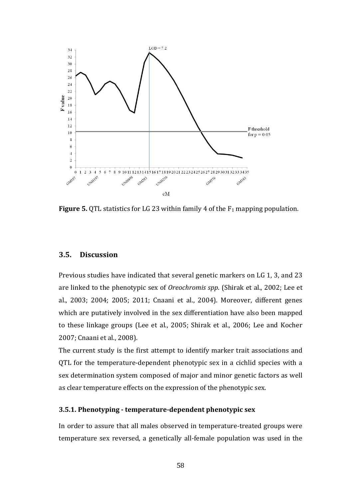

**Figure 5.** QTL statistics for LG 23 within family 4 of the F<sub>1</sub> mapping population.

#### **3.5. Discussion**

Previous studies have indicated that several genetic markers on LG 1, 3, and 23 are linked to the phenotypic sex of *Oreochromis spp*. (Shirak et al., 2002; Lee et al., 2003; 2004; 2005; 2011; Cnaani et al., 2004). Moreover, different genes which are putatively involved in the sex differentiation have also been mapped to these linkage groups (Lee et al., 2005; Shirak et al., 2006; Lee and Kocher 2007; Cnaani et al., 2008).

The current study is the first attempt to identify marker trait associations and QTL for the temperature-dependent phenotypic sex in a cichlid species with a sex determination system composed of major and minor genetic factors as well as clear temperature effects on the expression of the phenotypic sex.

#### **3.5.1. Phenotyping - temperature-dependent phenotypic sex**

In order to assure that all males observed in temperature-treated groups were temperature sex reversed, a genetically all-female population was used in the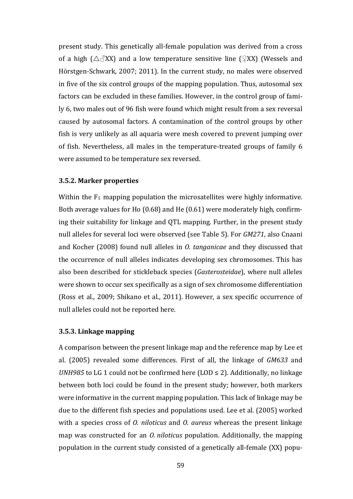present study. This genetically all-female population was derived from a cross of a high ( $\triangle \triangle$ XX) and a low temperature sensitive line ( $\angle$ XX) (Wessels and Hörstgen-Schwark, 2007; 2011). In the current study, no males were observed in five of the six control groups of the mapping population. Thus, autosomal sex factors can be excluded in these families. However, in the control group of family 6, two males out of 96 fish were found which might result from a sex reversal caused by autosomal factors. A contamination of the control groups by other fish is very unlikely as all aquaria were mesh covered to prevent jumping over of fish. Nevertheless, all males in the temperature-treated groups of family 6 were assumed to be temperature sex reversed.

#### **3.5.2. Marker properties**

Within the  $F_1$  mapping population the microsatellites were highly informative. Both average values for Ho (0.68) and He (0.61) were moderately high, confirming their suitability for linkage and QTL mapping. Further, in the present study null alleles for several loci were observed (see Table 5). For *GM271*, also Cnaani and Kocher (2008) found null alleles in *O. tanganicae* and they discussed that the occurrence of null alleles indicates developing sex chromosomes. This has also been described for stickleback species (*Gasterosteidae*), where null alleles were shown to occur sex specifically as a sign of sex chromosome differentiation (Ross et al., 2009; Shikano et al., 2011). However, a sex specific occurrence of null alleles could not be reported here.

#### **3.5.3. Linkage mapping**

A comparison between the present linkage map and the reference map by Lee et al. (2005) revealed some differences. First of all, the linkage of *GM633* and *UNH985* to LG 1 could not be confirmed here  $(LOD \le 2)$ . Additionally, no linkage between both loci could be found in the present study; however, both markers were informative in the current mapping population. This lack of linkage may be due to the different fish species and populations used. Lee et al. (2005) worked with a species cross of *O. niloticus* and *O. aureus* whereas the present linkage map was constructed for an *O. niloticus* population. Additionally, the mapping population in the current study consisted of a genetically all-female (XX) popu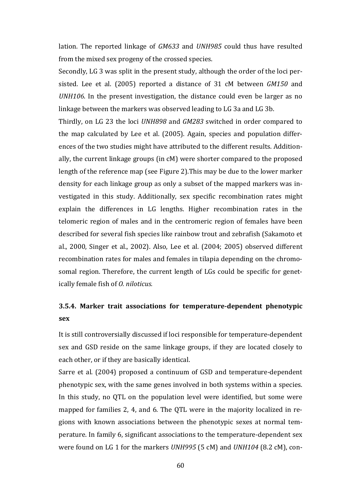lation. The reported linkage of *GM633* and *UNH985* could thus have resulted from the mixed sex progeny of the crossed species.

Secondly, LG 3 was split in the present study, although the order of the loci persisted. Lee et al. (2005) reported a distance of 31 cM between *GM150* and *UNH106*. In the present investigation, the distance could even be larger as no linkage between the markers was observed leading to LG 3a and LG 3b.

Thirdly, on LG 23 the loci *UNH898* and *GM283* switched in order compared to the map calculated by Lee et al. (2005). Again, species and population differences of the two studies might have attributed to the different results. Additionally, the current linkage groups (in cM) were shorter compared to the proposed length of the reference map (see Figure 2).This may be due to the lower marker density for each linkage group as only a subset of the mapped markers was investigated in this study. Additionally, sex specific recombination rates might explain the differences in LG lengths. Higher recombination rates in the telomeric region of males and in the centromeric region of females have been described for several fish species like rainbow trout and zebrafish (Sakamoto et al., 2000, Singer et al., 2002). Also, Lee et al. (2004; 2005) observed different recombination rates for males and females in tilapia depending on the chromosomal region. Therefore, the current length of LGs could be specific for genetically female fish of *O. niloticus.* 

# **3.5.4. Marker trait associations for temperature-dependent phenotypic sex**

It is still controversially discussed if loci responsible for temperature-dependent sex and GSD reside on the same linkage groups, if they are located closely to each other, or if they are basically identical.

Sarre et al. (2004) proposed a continuum of GSD and temperature-dependent phenotypic sex, with the same genes involved in both systems within a species. In this study, no QTL on the population level were identified, but some were mapped for families 2, 4, and 6. The QTL were in the majority localized in regions with known associations between the phenotypic sexes at normal temperature. In family 6, significant associations to the temperature-dependent sex were found on LG 1 for the markers *UNH995* (5 cM) and *UNH104* (8.2 cM), con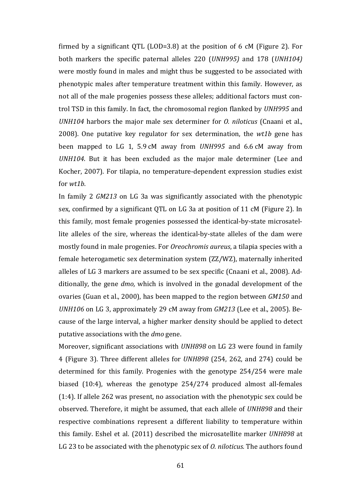firmed by a significant QTL (LOD=3.8) at the position of 6 cM (Figure 2). For both markers the specific paternal alleles 220 (*UNH995)* and 178 (*UNH104)* were mostly found in males and might thus be suggested to be associated with phenotypic males after temperature treatment within this family. However, as not all of the male progenies possess these alleles; additional factors must control TSD in this family. In fact, the chromosomal region flanked by *UNH995* and *UNH104* harbors the major male sex determiner for *O. niloticus* (Cnaani et al., 2008). One putative key regulator for sex determination, the *wt1b* gene has been mapped to LG 1, 5.9 cM away from *UNH995* and 6.6 cM away from *UNH104*. But it has been excluded as the major male determiner (Lee and Kocher, 2007). For tilapia, no temperature-dependent expression studies exist for *wt1b*.

In family 2 *GM213* on LG 3a was significantly associated with the phenotypic sex, confirmed by a significant QTL on LG 3a at position of 11 cM (Figure 2). In this family, most female progenies possessed the identical-by-state microsatellite alleles of the sire, whereas the identical-by-state alleles of the dam were mostly found in male progenies. For *Oreochromis aureus*, a tilapia species with a female heterogametic sex determination system (ZZ/WZ), maternally inherited alleles of LG 3 markers are assumed to be sex specific (Cnaani et al., 2008). Additionally, the gene *dmo,* which is involved in the gonadal development of the ovaries (Guan et al., 2000), has been mapped to the region between *GM150* and *UNH106* on LG 3, approximately 29 cM away from *GM213* (Lee et al., 2005). Because of the large interval, a higher marker density should be applied to detect putative associations with the *dmo* gene.

Moreover, significant associations with *UNH898* on LG 23 were found in family 4 (Figure 3). Three different alleles for *UNH898* (254, 262, and 274) could be determined for this family. Progenies with the genotype 254/254 were male biased (10:4), whereas the genotype 254/274 produced almost all-females (1:4). If allele 262 was present, no association with the phenotypic sex could be observed. Therefore, it might be assumed, that each allele of *UNH898* and their respective combinations represent a different liability to temperature within this family. Eshel et al. (2011) described the microsatellite marker *UNH898* at LG 23 to be associated with the phenotypic sex of *O. niloticus.* The authors found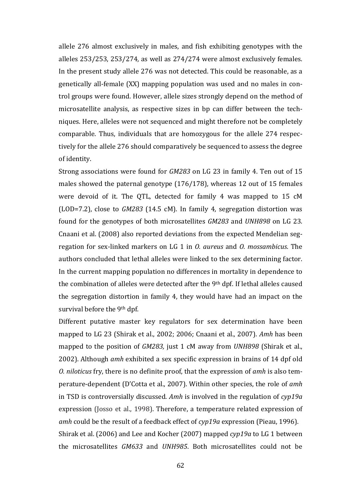allele 276 almost exclusively in males, and fish exhibiting genotypes with the alleles 253/253, 253/274, as well as 274/274 were almost exclusively females. In the present study allele 276 was not detected. This could be reasonable, as a genetically all-female (XX) mapping population was used and no males in control groups were found. However, allele sizes strongly depend on the method of microsatellite analysis, as respective sizes in bp can differ between the techniques. Here, alleles were not sequenced and might therefore not be completely comparable. Thus, individuals that are homozygous for the allele 274 respectively for the allele 276 should comparatively be sequenced to assess the degree of identity.

Strong associations were found for *GM283* on LG 23 in family 4. Ten out of 15 males showed the paternal genotype (176/178), whereas 12 out of 15 females were devoid of it. The QTL, detected for family 4 was mapped to 15 cM (LOD=7.2), close to *GM283* (14.5 cM). In family 4, segregation distortion was found for the genotypes of both microsatellites *GM283* and *UNH898* on LG 23. Cnaani et al. (2008) also reported deviations from the expected Mendelian segregation for sex-linked markers on LG 1 in *O. aureus* and *O. mossambicus*. The authors concluded that lethal alleles were linked to the sex determining factor. In the current mapping population no differences in mortality in dependence to the combination of alleles were detected after the 9th dpf. If lethal alleles caused the segregation distortion in family 4, they would have had an impact on the survival before the 9<sup>th</sup> dpf.

Different putative master key regulators for sex determination have been mapped to LG 23 (Shirak et al., 2002; 2006; Cnaani et al., 2007). *Amh* has been mapped to the position of *GM283,* just 1 cM away from *UNH898* (Shirak et al., 2002). Although *amh* exhibited a sex specific expression in brains of 14 dpf old *O. niloticus* fry, there is no definite proof, that the expression of *amh* is also temperature-dependent (D'Cotta et al., 2007). Within other species, the role of *amh* in TSD is controversially discussed. *Amh* is involved in the regulation of *cyp19a* expression (Josso et al., 1998). Therefore, a temperature related expression of *amh* could be the result of a feedback effect of *cyp19a* expression (Pieau, 1996). Shirak et al. (2006) and Lee and Kocher (2007) mapped *cyp19a* to LG 1 between the microsatellites *GM633* and *UNH985*. Both microsatellites could not be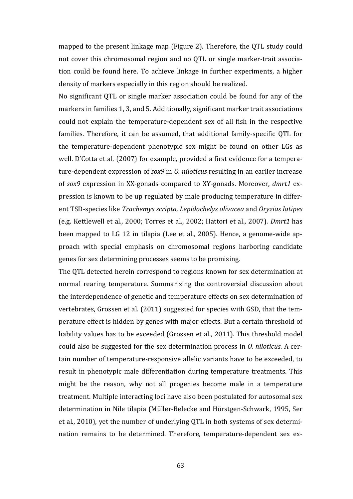mapped to the present linkage map (Figure 2). Therefore, the QTL study could not cover this chromosomal region and no QTL or single marker-trait association could be found here. To achieve linkage in further experiments, a higher density of markers especially in this region should be realized.

No significant QTL or single marker association could be found for any of the markers in families 1, 3, and 5. Additionally, significant marker trait associations could not explain the temperature-dependent sex of all fish in the respective families. Therefore, it can be assumed, that additional family-specific QTL for the temperature-dependent phenotypic sex might be found on other LGs as well. D'Cotta et al. (2007) for example, provided a first evidence for a temperature-dependent expression of *sox9* in *O. niloticus* resulting in an earlier increase of *sox9* expression in XX-gonads compared to XY-gonads. Moreover, *dmrt1* expression is known to be up regulated by male producing temperature in different TSD-species like *Trachemys scripta, Lepidochelys olivacea* and *Oryzias latipes* (e.g. Kettlewell et al., 2000; Torres et al., 2002; Hattori et al., 2007). *Dmrt1* has been mapped to LG 12 in tilapia (Lee et al., 2005). Hence, a genome-wide approach with special emphasis on chromosomal regions harboring candidate genes for sex determining processes seems to be promising.

The QTL detected herein correspond to regions known for sex determination at normal rearing temperature. Summarizing the controversial discussion about the interdependence of genetic and temperature effects on sex determination of vertebrates, Grossen et al. (2011) suggested for species with GSD, that the temperature effect is hidden by genes with major effects. But a certain threshold of liability values has to be exceeded (Grossen et al., 2011). This threshold model could also be suggested for the sex determination process in *O. niloticus*. A certain number of temperature-responsive allelic variants have to be exceeded, to result in phenotypic male differentiation during temperature treatments. This might be the reason, why not all progenies become male in a temperature treatment. Multiple interacting loci have also been postulated for autosomal sex determination in Nile tilapia (Müller-Belecke and Hörstgen-Schwark, 1995, Ser et al., 2010), yet the number of underlying QTL in both systems of sex determination remains to be determined. Therefore, temperature-dependent sex ex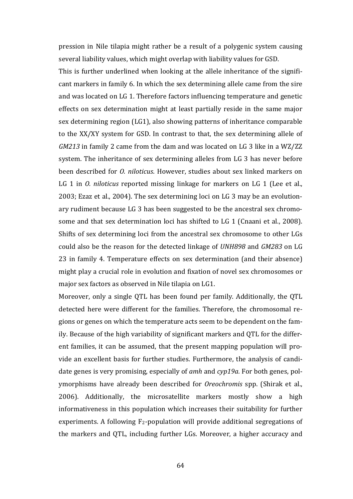pression in Nile tilapia might rather be a result of a polygenic system causing several liability values, which might overlap with liability values for GSD.

This is further underlined when looking at the allele inheritance of the significant markers in family 6. In which the sex determining allele came from the sire and was located on LG 1. Therefore factors influencing temperature and genetic effects on sex determination might at least partially reside in the same major sex determining region (LG1), also showing patterns of inheritance comparable to the XX/XY system for GSD. In contrast to that, the sex determining allele of *GM213* in family 2 came from the dam and was located on LG 3 like in a WZ/ZZ system. The inheritance of sex determining alleles from LG 3 has never before been described for *O. niloticus*. However, studies about sex linked markers on LG 1 in *O. niloticus* reported missing linkage for markers on LG 1 (Lee et al., 2003; Ezaz et al., 2004). The sex determining loci on LG 3 may be an evolutionary rudiment because LG 3 has been suggested to be the ancestral sex chromosome and that sex determination loci has shifted to LG 1 (Cnaani et al., 2008). Shifts of sex determining loci from the ancestral sex chromosome to other LGs could also be the reason for the detected linkage of *UNH898* and *GM283* on LG 23 in family 4. Temperature effects on sex determination (and their absence) might play a crucial role in evolution and fixation of novel sex chromosomes or major sex factors as observed in Nile tilapia on LG1.

Moreover, only a single QTL has been found per family. Additionally, the QTL detected here were different for the families. Therefore, the chromosomal regions or genes on which the temperature acts seem to be dependent on the family. Because of the high variability of significant markers and QTL for the different families, it can be assumed, that the present mapping population will provide an excellent basis for further studies. Furthermore, the analysis of candidate genes is very promising, especially of *amh* and *cyp19a.* For both genes, polymorphisms have already been described for *Oreochromis* spp. (Shirak et al., 2006). Additionally, the microsatellite markers mostly show a high informativeness in this population which increases their suitability for further experiments. A following  $F_2$ -population will provide additional segregations of the markers and QTL, including further LGs. Moreover, a higher accuracy and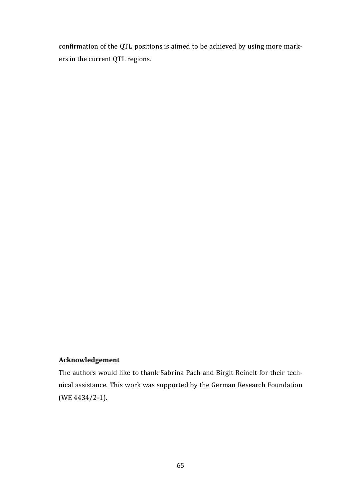confirmation of the QTL positions is aimed to be achieved by using more markers in the current QTL regions.

### **Acknowledgement**

The authors would like to thank Sabrina Pach and Birgit Reinelt for their technical assistance. This work was supported by the German Research Foundation (WE 4434/2-1).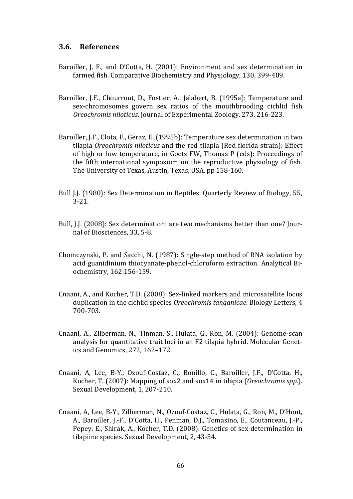### **3.6. References**

- Baroiller, J. F., and D'Cotta, H. (2001): Environment and sex determination in farmed fish. Comparative Biochemistry and Physiology, 130, 399-409.
- Baroiller, J.F., Chourrout, D., Fostier, A., Jalabert, B. (1995a): Temperature and sex-chromosomes govern sex ratios of the mouthbrooding cichlid fish *Oreochromis niloticus*. Journal of Experimental Zoology, 273, 216-223.
- Baroiller, J.F., Clota, F., Geraz, E. (1995b): Temperature sex determination in two tilapia *Oreochromis niloticus* and the red tilapia (Red florida strain): Effect of high or low temperature, in Goetz FW, Thomas P (eds): Proceedings of the fifth international symposium on the reproductive physiology of fish. The University of Texas, Austin, Texas, USA, pp 158-160.
- Bull J.J. (1980): Sex Determination in Reptiles. Quarterly Review of Biology, 55, 3-21.
- Bull, J.J. (2008): Sex determination: are two mechanisms better than one? Journal of Biosciences, 33, 5-8.
- Chomczynski, P. and Sacchi, N. (1987)**:** Single-step method of RNA isolation by acid guanidinium thiocyanate-phenol-chloroform extraction. Analytical Biochemistry, 162:156-159.
- Cnaani, A., and Kocher, T.D. (2008): Sex-linked markers and microsatellite locus duplication in the cichlid species *Oreochromis tanganicae*. Biology Letters, 4 700-703.
- Cnaani, A., Zilberman, N., Tinman, S., Hulata, G., Ron, M. (2004): Genome-scan analysis for quantitative trait loci in an F2 tilapia hybrid. Molecular Genetics and Genomics, 272, 162–172.
- Cnaani, A, Lee, B-Y., Ozouf-Costaz, C., Bonillo, C., Baroiller, J.F., D'Cotta, H., Kocher, T. (2007): Mapping of sox2 and sox14 in tilapia (*Oreochromis spp.*). Sexual Development, 1, 207-210.
- Cnaani, A, Lee, B-Y., Zilberman, N., Ozouf-Costaz, C., Hulata, G., Ron, M., D'Hont, A., Baroiller, J.-F., D'Cotta, H., Penman, D.J., Tomasino, E., Coutanceau, J.-P., Pepey, E., Shirak, A., Kocher, T.D. (2008): Genetics of sex determination in tilapiine species. Sexual Development, 2, 43-54.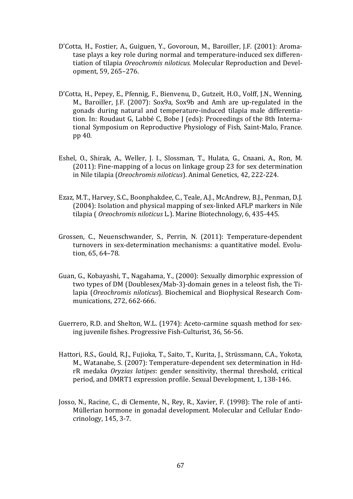- D'Cotta, H., Fostier, A., Guiguen, Y., Govoroun, M., Baroiller, J.F. (2001): Aromatase plays a key role during normal and temperature-induced sex differentiation of tilapia *Oreochromis niloticus.* Molecular Reproduction and Development, 59, 265–276.
- D'Cotta, H., Pepey, E., Pfennig, F., Bienvenu, D., Gutzeit, H.O., Volff, J.N., Wenning, M., Baroiller, J.F. (2007): Sox9a, Sox9b and Amh are up-regulated in the gonads during natural and temperature-induced tilapia male differentiation. In: Roudaut G, Labbé C, Bobe J (eds): Proceedings of the 8th International Symposium on Reproductive Physiology of Fish, Saint-Malo, France. pp 40.
- Eshel, O., Shirak, A., Weller, J. I., Slossman, T., Hulata, G., Cnaani, A., Ron, M. (2011): Fine-mapping of a locus on linkage group 23 for sex determination in Nile tilapia (*Oreochromis niloticus*). Animal Genetics, 42, 222-224.
- Ezaz, M.T., Harvey, S.C., Boonphakdee, C., Teale, A.J., McAndrew, B.J., Penman, D.J. (2004): Isolation and physical mapping of sex-linked AFLP markers in Nile tilapia ( *Oreochromis niloticus* L.). Marine Biotechnology, 6, 435-445.
- Grossen, C., Neuenschwander, S., Perrin, N. (2011): Temperature-dependent turnovers in sex-determination mechanisms: a quantitative model. Evolution, 65, 64–78.
- Guan, G., Kobayashi, T., Nagahama, Y., (2000): Sexually dimorphic expression of two types of DM (Doublesex/Mab-3)-domain genes in a teleost fish, the Tilapia (*Oreochromis niloticus*). Biochemical and Biophysical Research Communications, 272, 662-666.
- Guerrero, R.D. and Shelton, W.L. (1974): Aceto-carmine squash method for sexing juvenile fishes. Progressive Fish-Culturist, 36, 56-56.
- Hattori, R.S., Gould, R.J., Fujioka, T., Saito, T., Kurita, J., Strüssmann, C.A., Yokota, M., Watanabe, S. (2007): Temperature-dependent sex determination in HdrR medaka *Oryzias latipes*: gender sensitivity, thermal threshold, critical period, and DMRT1 expression profile. Sexual Development, 1, 138-146.
- Josso, N., Racine, C., di Clemente, N., Rey, R., Xavier, F. (1998): The role of anti-Müllerian hormone in gonadal development. Molecular and Cellular Endocrinology, 145, 3-7.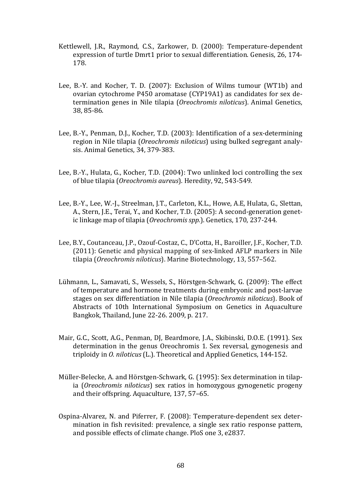- Kettlewell, J.R., Raymond, C.S., Zarkower, D. (2000): Temperature-dependent expression of turtle Dmrt1 prior to sexual differentiation. Genesis, 26, 174- 178.
- Lee, B.-Y. and Kocher, T. D. (2007): Exclusion of Wilms tumour (WT1b) and ovarian cytochrome P450 aromatase (CYP19A1) as candidates for sex determination genes in Nile tilapia (*Oreochromis niloticus*). Animal Genetics, 38, 85-86.
- Lee, B.-Y., Penman, D.J., Kocher, T.D. (2003): Identification of a sex-determining region in Nile tilapia (*Oreochromis niloticus*) using bulked segregant analysis. Animal Genetics, 34, 379-383.
- Lee, B.-Y., Hulata, G., Kocher, T.D. (2004): Two unlinked loci controlling the sex of blue tilapia (*Oreochromis aureus*). Heredity, 92, 543-549.
- Lee, B.-Y., Lee, W.-J., Streelman, J.T., Carleton, K.L., Howe, A.E, Hulata, G., Slettan, A., Stern, J.E., Terai, Y., and Kocher, T.D. (2005): A second-generation genetic linkage map of tilapia (*Oreochromis spp.*). Genetics, 170, 237-244.
- Lee, B.Y., Coutanceau, J.P., Ozouf-Costaz, C., D'Cotta, H., Baroiller, J.F., Kocher, T.D. (2011): Genetic and physical mapping of sex-linked AFLP markers in Nile tilapia (*Oreochromis niloticus*). Marine Biotechnology, 13, 557–562.
- Lühmann, L., Samavati, S., Wessels, S., Hörstgen-Schwark, G. (2009): The effect of temperature and hormone treatments during embryonic and post-larvae stages on sex differentiation in Nile tilapia (*Oreochromis niloticus*). Book of Abstracts of 10th International Symposium on Genetics in Aquaculture Bangkok, Thailand, June 22-26. 2009, p. 217.
- Mair, G.C., Scott, A.G., Penman, DJ, Beardmore, J.A., Skibinski, D.O.E. (1991). Sex determination in the genus Oreochromis 1. Sex reversal, gynogenesis and triploidy in *O. niloticus* (L.). Theoretical and Applied Genetics, 144-152.
- Müller-Belecke, A. and Hörstgen-Schwark, G. (1995): Sex determination in tilapia (*Oreochromis niloticus*) sex ratios in homozygous gynogenetic progeny and their offspring. Aquaculture, 137, 57–65.
- Ospina-Alvarez, N. and Piferrer, F. (2008): Temperature-dependent sex determination in fish revisited: prevalence, a single sex ratio response pattern, and possible effects of climate change. PloS one 3, e2837.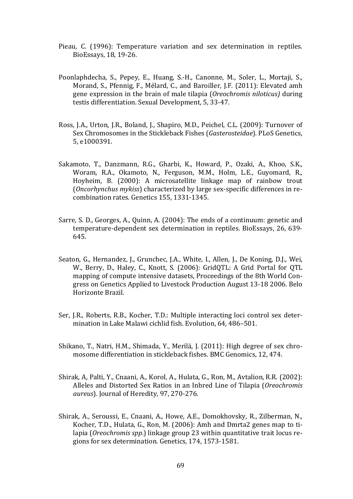- Pieau, C. (1996): Temperature variation and sex determination in reptiles. BioEssays, 18, 19-26.
- Poonlaphdecha, S., Pepey, E., Huang, S.-H., Canonne, M., Soler, L., Mortaji, S., Morand, S., Pfennig, F., Mélard, C., and Baroiller, J.F. (2011): Elevated amh gene expression in the brain of male tilapia (*Oreochromis niloticus)* during testis differentiation. Sexual Development, 5, 33-47.
- Ross, J.A., Urton, J.R., Boland, J., Shapiro, M.D., Peichel, C.L. (2009): Turnover of Sex Chromosomes in the Stickleback Fishes (*Gasterosteidae*). PLoS Genetics, 5, e1000391.
- Sakamoto, T., Danzmann, R.G., Gharbi, K., Howard, P., Ozaki, A., Khoo, S.K., Woram, R.A., Okamoto, N., Ferguson, M.M., Holm, L.E., Guyomard, R., Hoyheim, B. (2000): A microsatellite linkage map of rainbow trout (*Oncorhynchus mykiss*) characterized by large sex-specific differences in recombination rates. Genetics 155, 1331-1345.
- Sarre, S. D., Georges, A., Quinn, A. (2004): The ends of a continuum: genetic and temperature-dependent sex determination in reptiles. BioEssays, 26, 639- 645.
- Seaton, G., Hernandez, J., Grunchec, J.A., White, I., Allen, J., De Koning, D.J., Wei, W., Berry, D., Haley, C., Knott, S. (2006): GridQTL: A Grid Portal for QTL mapping of compute intensive datasets, Proceedings of the 8th World Congress on Genetics Applied to Livestock Production August 13-18 2006. Belo Horizonte Brazil.
- Ser, J.R., Roberts, R.B., Kocher, T.D.: Multiple interacting loci control sex determination in Lake Malawi cichlid fish. Evolution, 64, 486–501.
- Shikano, T., Natri, H.M., Shimada, Y., Merilä, J. (2011): High degree of sex chromosome differentiation in stickleback fishes. BMC Genomics, 12, 474.
- Shirak, A, Palti, Y., Cnaani, A., Korol, A., Hulata, G., Ron, M., Avtalion, R.R. (2002): Alleles and Distorted Sex Ratios in an Inbred Line of Tilapia (*Oreochromis aureus*). Journal of Heredity, 97, 270-276.
- Shirak, A., Seroussi, E., Cnaani, A., Howe, A.E., Domokhovsky, R., Zilberman, N., Kocher, T.D., Hulata, G., Ron, M. (2006): Amh and Dmrta2 genes map to tilapia (*Oreochromis spp*.) linkage group 23 within quantitative trait locus regions for sex determination. Genetics, 174, 1573-1581.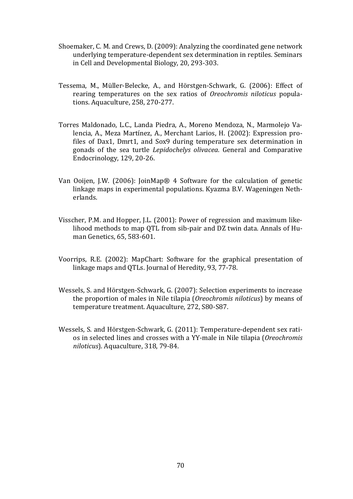- Shoemaker, C. M. and Crews, D. (2009): Analyzing the coordinated gene network underlying temperature-dependent sex determination in reptiles. Seminars in Cell and Developmental Biology, 20, 293-303.
- Tessema, M., Müller-Belecke, A., and Hörstgen-Schwark, G. (2006): Effect of rearing temperatures on the sex ratios of *Oreochromis niloticus* populations. Aquaculture, 258, 270-277.
- Torres Maldonado, L.C., Landa Piedra, A., Moreno Mendoza, N., Marmolejo Valencia, A., Meza Martínez, A., Merchant Larios, H. (2002): Expression profiles of Dax1, Dmrt1, and Sox9 during temperature sex determination in gonads of the sea turtle *Lepidochelys olivacea*. General and Comparative Endocrinology, 129, 20-26.
- Van Ooijen, J.W. (2006): JoinMap® 4 Software for the calculation of genetic linkage maps in experimental populations. Kyazma B.V. Wageningen Netherlands.
- Visscher, P.M. and Hopper, J.L. (2001): Power of regression and maximum likelihood methods to map QTL from sib-pair and DZ twin data. Annals of Human Genetics, 65, 583-601.
- Voorrips, R.E. (2002): MapChart: Software for the graphical presentation of linkage maps and QTLs. Journal of Heredity, 93, 77-78.
- Wessels, S. and Hörstgen-Schwark, G. (2007): Selection experiments to increase the proportion of males in Nile tilapia (*Oreochromis niloticus*) by means of temperature treatment. Aquaculture, 272, S80-S87.
- Wessels, S. and Hörstgen-Schwark, G. (2011): Temperature-dependent sex ratios in selected lines and crosses with a YY-male in Nile tilapia (*Oreochromis niloticus*). Aquaculture, 318, 79-84.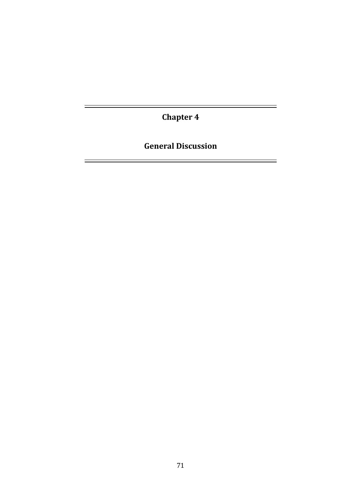**Chapter 4** 

 $\overline{\phantom{0}}$ 

É

**General Discussion**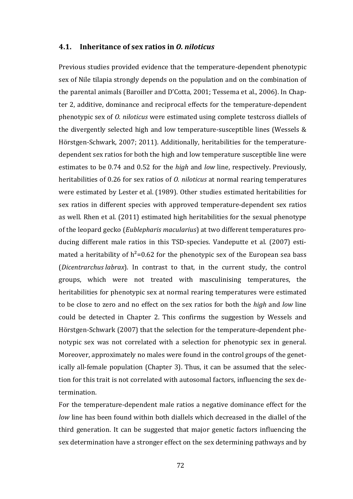#### **4.1. Inheritance of sex ratios in** *O. niloticus*

Previous studies provided evidence that the temperature-dependent phenotypic sex of Nile tilapia strongly depends on the population and on the combination of the parental animals (Baroiller and D'Cotta, 2001; Tessema et al., 2006). In Chapter 2, additive, dominance and reciprocal effects for the temperature-dependent phenotypic sex of *O. niloticus* were estimated using complete testcross diallels of the divergently selected high and low temperature-susceptible lines (Wessels & Hörstgen-Schwark, 2007; 2011). Additionally, heritabilities for the temperaturedependent sex ratios for both the high and low temperature susceptible line were estimates to be 0.74 and 0.52 for the *high* and *low* line, respectively. Previously, heritabilities of 0.26 for sex ratios of *O. niloticus* at normal rearing temperatures were estimated by Lester et al. (1989). Other studies estimated heritabilities for sex ratios in different species with approved temperature-dependent sex ratios as well. Rhen et al. (2011) estimated high heritabilities for the sexual phenotype of the leopard gecko (*Eublepharis macularius*) at two different temperatures producing different male ratios in this TSD-species. Vandeputte et al. (2007) estimated a heritability of  $h^2$ =0.62 for the phenotypic sex of the European sea bass (*Dicentrarchus labrax*). In contrast to that, in the current study, the control groups, which were not treated with masculinising temperatures, the heritabilities for phenotypic sex at normal rearing temperatures were estimated to be close to zero and no effect on the sex ratios for both the *high* and *low* line could be detected in Chapter 2. This confirms the suggestion by Wessels and Hörstgen-Schwark (2007) that the selection for the temperature-dependent phenotypic sex was not correlated with a selection for phenotypic sex in general. Moreover, approximately no males were found in the control groups of the genetically all-female population (Chapter 3). Thus, it can be assumed that the selection for this trait is not correlated with autosomal factors, influencing the sex determination.

For the temperature-dependent male ratios a negative dominance effect for the *low* line has been found within both diallels which decreased in the diallel of the third generation. It can be suggested that major genetic factors influencing the sex determination have a stronger effect on the sex determining pathways and by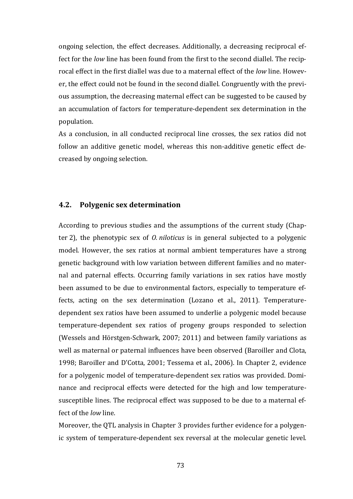ongoing selection, the effect decreases. Additionally, a decreasing reciprocal effect for the *low* line has been found from the first to the second diallel. The reciprocal effect in the first diallel was due to a maternal effect of the *low* line. However, the effect could not be found in the second diallel. Congruently with the previous assumption, the decreasing maternal effect can be suggested to be caused by an accumulation of factors for temperature-dependent sex determination in the population.

As a conclusion, in all conducted reciprocal line crosses, the sex ratios did not follow an additive genetic model, whereas this non-additive genetic effect decreased by ongoing selection.

### **4.2. Polygenic sex determination**

According to previous studies and the assumptions of the current study (Chapter 2), the phenotypic sex of *O. niloticus* is in general subjected to a polygenic model. However, the sex ratios at normal ambient temperatures have a strong genetic background with low variation between different families and no maternal and paternal effects. Occurring family variations in sex ratios have mostly been assumed to be due to environmental factors, especially to temperature effects, acting on the sex determination (Lozano et al., 2011). Temperaturedependent sex ratios have been assumed to underlie a polygenic model because temperature-dependent sex ratios of progeny groups responded to selection (Wessels and Hörstgen-Schwark, 2007; 2011) and between family variations as well as maternal or paternal influences have been observed (Baroiller and Clota, 1998; Baroiller and D'Cotta, 2001; Tessema et al., 2006). In Chapter 2, evidence for a polygenic model of temperature-dependent sex ratios was provided. Dominance and reciprocal effects were detected for the high and low temperaturesusceptible lines. The reciprocal effect was supposed to be due to a maternal effect of the *low* line.

Moreover, the QTL analysis in Chapter 3 provides further evidence for a polygenic system of temperature-dependent sex reversal at the molecular genetic level.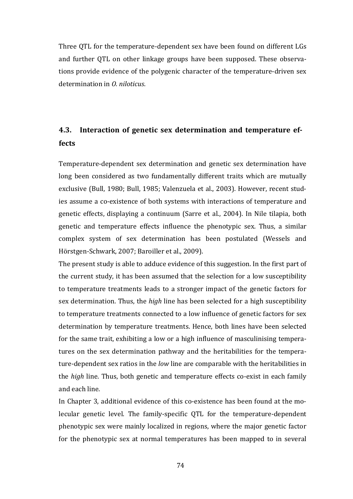Three QTL for the temperature-dependent sex have been found on different LGs and further QTL on other linkage groups have been supposed. These observations provide evidence of the polygenic character of the temperature-driven sex determination in *O. niloticus*.

# **4.3. Interaction of genetic sex determination and temperature effects**

Temperature-dependent sex determination and genetic sex determination have long been considered as two fundamentally different traits which are mutually exclusive (Bull, 1980; Bull, 1985; Valenzuela et al., 2003). However, recent studies assume a co-existence of both systems with interactions of temperature and genetic effects, displaying a continuum (Sarre et al., 2004). In Nile tilapia, both genetic and temperature effects influence the phenotypic sex. Thus, a similar complex system of sex determination has been postulated (Wessels and Hörstgen-Schwark, 2007; Baroiller et al., 2009).

The present study is able to adduce evidence of this suggestion. In the first part of the current study, it has been assumed that the selection for a low susceptibility to temperature treatments leads to a stronger impact of the genetic factors for sex determination. Thus, the *high* line has been selected for a high susceptibility to temperature treatments connected to a low influence of genetic factors for sex determination by temperature treatments. Hence, both lines have been selected for the same trait, exhibiting a low or a high influence of masculinising temperatures on the sex determination pathway and the heritabilities for the temperature-dependent sex ratios in the *low* line are comparable with the heritabilities in the *high* line. Thus, both genetic and temperature effects co-exist in each family and each line.

In Chapter 3, additional evidence of this co-existence has been found at the molecular genetic level. The family-specific QTL for the temperature-dependent phenotypic sex were mainly localized in regions, where the major genetic factor for the phenotypic sex at normal temperatures has been mapped to in several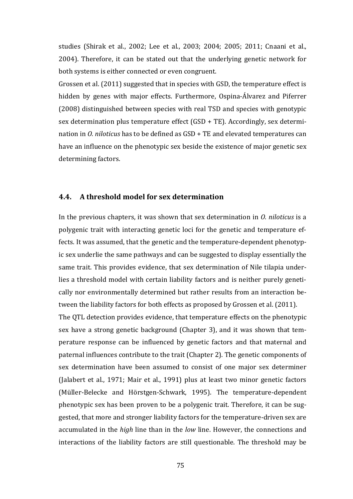studies (Shirak et al., 2002; Lee et al., 2003; 2004; 2005; 2011; Cnaani et al., 2004). Therefore, it can be stated out that the underlying genetic network for both systems is either connected or even congruent.

Grossen et al. (2011) suggested that in species with GSD, the temperature effect is hidden by genes with major effects. Furthermore, Ospina-Álvarez and Piferrer (2008) distinguished between species with real TSD and species with genotypic sex determination plus temperature effect (GSD + TE). Accordingly, sex determination in *O. niloticus* has to be defined as GSD + TE and elevated temperatures can have an influence on the phenotypic sex beside the existence of major genetic sex determining factors.

### **4.4. A threshold model for sex determination**

In the previous chapters, it was shown that sex determination in *O. niloticus* is a polygenic trait with interacting genetic loci for the genetic and temperature effects. It was assumed, that the genetic and the temperature-dependent phenotypic sex underlie the same pathways and can be suggested to display essentially the same trait. This provides evidence, that sex determination of Nile tilapia underlies a threshold model with certain liability factors and is neither purely genetically nor environmentally determined but rather results from an interaction between the liability factors for both effects as proposed by Grossen et al. (2011).

The QTL detection provides evidence, that temperature effects on the phenotypic sex have a strong genetic background (Chapter 3), and it was shown that temperature response can be influenced by genetic factors and that maternal and paternal influences contribute to the trait (Chapter 2). The genetic components of sex determination have been assumed to consist of one major sex determiner (Jalabert et al., 1971; Mair et al., 1991) plus at least two minor genetic factors (Müller-Belecke and Hörstgen-Schwark, 1995). The temperature-dependent phenotypic sex has been proven to be a polygenic trait. Therefore, it can be suggested, that more and stronger liability factors for the temperature-driven sex are accumulated in the *high* line than in the *low* line. However, the connections and interactions of the liability factors are still questionable. The threshold may be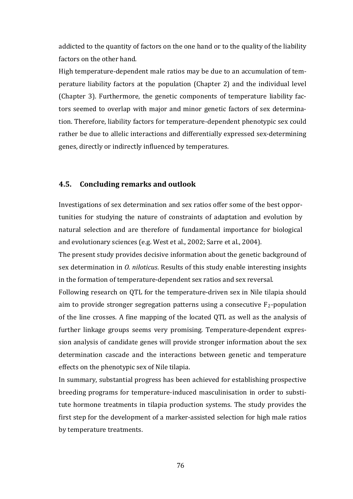addicted to the quantity of factors on the one hand or to the quality of the liability factors on the other hand.

High temperature-dependent male ratios may be due to an accumulation of temperature liability factors at the population (Chapter 2) and the individual level (Chapter 3). Furthermore, the genetic components of temperature liability factors seemed to overlap with major and minor genetic factors of sex determination. Therefore, liability factors for temperature-dependent phenotypic sex could rather be due to allelic interactions and differentially expressed sex-determining genes, directly or indirectly influenced by temperatures.

### **4.5. Concluding remarks and outlook**

Investigations of sex determination and sex ratios offer some of the best opportunities for studying the nature of constraints of adaptation and evolution by natural selection and are therefore of fundamental importance for biological and evolutionary sciences (e.g. West et al., 2002; Sarre et al., 2004).

The present study provides decisive information about the genetic background of sex determination in *O. niloticus*. Results of this study enable interesting insights in the formation of temperature-dependent sex ratios and sex reversal.

Following research on QTL for the temperature-driven sex in Nile tilapia should aim to provide stronger segregation patterns using a consecutive  $F_2$ -population of the line crosses. A fine mapping of the located QTL as well as the analysis of further linkage groups seems very promising. Temperature-dependent expression analysis of candidate genes will provide stronger information about the sex determination cascade and the interactions between genetic and temperature effects on the phenotypic sex of Nile tilapia.

In summary, substantial progress has been achieved for establishing prospective breeding programs for temperature-induced masculinisation in order to substitute hormone treatments in tilapia production systems. The study provides the first step for the development of a marker-assisted selection for high male ratios by temperature treatments.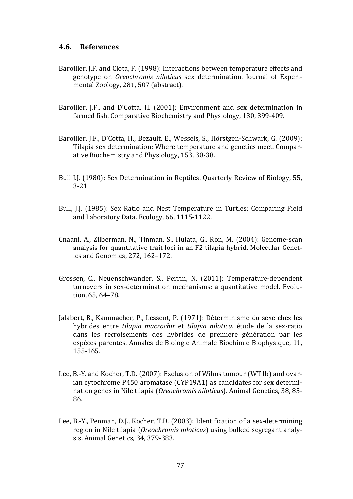### **4.6. References**

- Baroiller, J.F. and Clota, F. (1998): Interactions between temperature effects and genotype on *Oreochromis niloticus* sex determination. Journal of Experimental Zoology, 281, 507 (abstract).
- Baroiller, I.F., and D'Cotta, H. (2001): Environment and sex determination in farmed fish. Comparative Biochemistry and Physiology, 130, 399-409.
- Baroiller, J.F., D'Cotta, H., Bezault, E., Wessels, S., Hörstgen-Schwark, G. (2009): Tilapia sex determination: Where temperature and genetics meet. Comparative Biochemistry and Physiology, 153, 30-38.
- Bull J.J. (1980): Sex Determination in Reptiles. Quarterly Review of Biology, 55, 3-21.
- Bull, J.J. (1985): Sex Ratio and Nest Temperature in Turtles: Comparing Field and Laboratory Data. Ecology, 66, 1115-1122.
- Cnaani, A., Zilberman, N., Tinman, S., Hulata, G., Ron, M. (2004): Genome-scan analysis for quantitative trait loci in an F2 tilapia hybrid. Molecular Genetics and Genomics, 272, 162–172.
- Grossen, C., Neuenschwander, S., Perrin, N. (2011): Temperature-dependent turnovers in sex-determination mechanisms: a quantitative model. Evolution, 65, 64–78.
- Jalabert, B., Kammacher, P., Lessent, P. (1971): Déterminisme du sexe chez les hybrides entre *tilapia macrochir* et *tilapia nilotica*. étude de la sex-ratio dans les recroisements des hybrides de premiere génération par les espèces parentes. Annales de Biologie Animale Biochimie Biophysique, 11, 155-165.
- Lee, B.-Y. and Kocher, T.D. (2007): Exclusion of Wilms tumour (WT1b) and ovarian cytochrome P450 aromatase (CYP19A1) as candidates for sex determination genes in Nile tilapia (*Oreochromis niloticus*). Animal Genetics, 38, 85- 86.
- Lee, B.-Y., Penman, D.J., Kocher, T.D. (2003): Identification of a sex-determining region in Nile tilapia (*Oreochromis niloticus*) using bulked segregant analysis. Animal Genetics, 34, 379-383.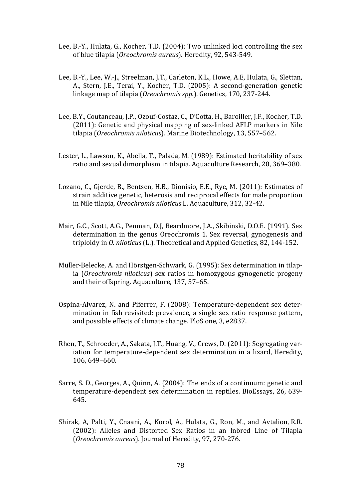- Lee, B.-Y., Hulata, G., Kocher, T.D. (2004): Two unlinked loci controlling the sex of blue tilapia (*Oreochromis aureus*). Heredity, 92, 543-549.
- Lee, B.-Y., Lee, W.-J., Streelman, J.T., Carleton, K.L., Howe, A.E, Hulata, G., Slettan, A., Stern, J.E., Terai, Y., Kocher, T.D. (2005): A second-generation genetic linkage map of tilapia (*Oreochromis spp.*). Genetics, 170, 237-244.
- Lee, B.Y., Coutanceau, J.P., Ozouf-Costaz, C., D'Cotta, H., Baroiller, J.F., Kocher, T.D. (2011): Genetic and physical mapping of sex-linked AFLP markers in Nile tilapia (*Oreochromis niloticus*). Marine Biotechnology, 13, 557–562.
- Lester, L., Lawson, K., Abella, T., Palada, M. (1989): Estimated heritability of sex ratio and sexual dimorphism in tilapia. Aquaculture Research, 20, 369–380.
- Lozano, C., Gjerde, B., Bentsen, H.B., Dionisio, E.E., Rye, M. (2011): Estimates of strain additive genetic, heterosis and reciprocal effects for male proportion in Nile tilapia, *Oreochromis niloticus* L. Aquaculture, 312, 32-42.
- Mair, G.C., Scott, A.G., Penman, D.J, Beardmore, J.A., Skibinski, D.O.E. (1991). Sex determination in the genus Oreochromis 1. Sex reversal, gynogenesis and triploidy in *O. niloticus* (L.). Theoretical and Applied Genetics, 82, 144-152.
- Müller-Belecke, A. and Hörstgen-Schwark, G. (1995): Sex determination in tilapia (*Oreochromis niloticus*) sex ratios in homozygous gynogenetic progeny and their offspring. Aquaculture, 137, 57–65.
- Ospina-Alvarez, N. and Piferrer, F. (2008): Temperature-dependent sex determination in fish revisited: prevalence, a single sex ratio response pattern, and possible effects of climate change. PloS one, 3, e2837.
- Rhen, T., Schroeder, A., Sakata, J.T., Huang, V., Crews, D. (2011): Segregating variation for temperature-dependent sex determination in a lizard, Heredity, 106, 649–660.
- Sarre, S. D., Georges, A., Quinn, A. (2004): The ends of a continuum: genetic and temperature-dependent sex determination in reptiles. BioEssays, 26, 639- 645.
- Shirak, A, Palti, Y., Cnaani, A., Korol, A., Hulata, G., Ron, M., and Avtalion, R.R. (2002): Alleles and Distorted Sex Ratios in an Inbred Line of Tilapia (*Oreochromis aureus*). Journal of Heredity, 97, 270-276.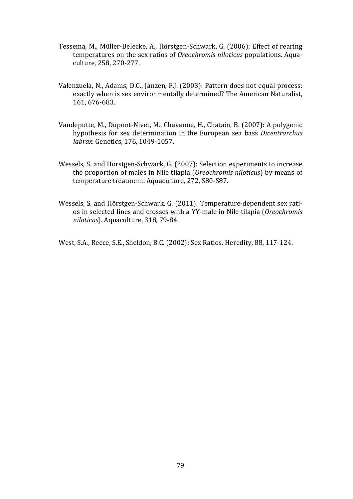- Tessema, M., Müller-Belecke, A., Hörstgen-Schwark, G. (2006): Effect of rearing temperatures on the sex ratios of *Oreochromis niloticus* populations. Aquaculture, 258, 270-277.
- Valenzuela, N., Adams, D.C., Janzen, F.J. (2003): Pattern does not equal process: exactly when is sex environmentally determined? The American Naturalist, 161, 676-683.
- Vandeputte, M., Dupont-Nivet, M., Chavanne, H., Chatain, B. (2007): A polygenic hypothesis for sex determination in the European sea bass *Dicentrarchus labrax*. Genetics, 176, 1049-1057.
- Wessels, S. and Hörstgen-Schwark, G. (2007): Selection experiments to increase the proportion of males in Nile tilapia (*Oreochromis niloticus*) by means of temperature treatment. Aquaculture, 272, S80-S87.
- Wessels, S. and Hörstgen-Schwark, G. (2011): Temperature-dependent sex ratios in selected lines and crosses with a YY-male in Nile tilapia (*Oreochromis niloticus*). Aquaculture, 318, 79-84.

West, S.A., Reece, S.E., Sheldon, B.C. (2002): Sex Ratios. Heredity, 88, 117-124.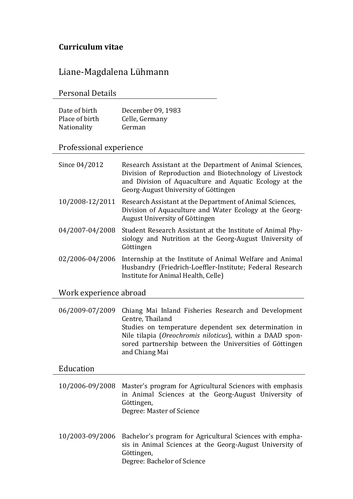# **Curriculum vitae**

Liane-Magdalena Lühmann

Personal Details

| Date of birth  | December 09, 1983 |
|----------------|-------------------|
| Place of birth | Celle, Germany    |
| Nationality    | German            |

## Professional experience

| Since 04/2012          | Research Assistant at the Department of Animal Sciences,<br>Division of Reproduction and Biotechnology of Livestock<br>and Division of Aquaculture and Aquatic Ecology at the<br>Georg-August University of Göttingen |
|------------------------|-----------------------------------------------------------------------------------------------------------------------------------------------------------------------------------------------------------------------|
| 10/2008-12/2011        | Research Assistant at the Department of Animal Sciences,<br>Division of Aquaculture and Water Ecology at the Georg-<br>August University of Göttingen                                                                 |
| 04/2007-04/2008        | Student Research Assistant at the Institute of Animal Phy-<br>siology and Nutrition at the Georg-August University of<br>Göttingen                                                                                    |
| 02/2006-04/2006        | Internship at the Institute of Animal Welfare and Animal<br>Husbandry (Friedrich-Loeffler-Institute; Federal Research<br>Institute for Animal Health, Celle)                                                          |
| Work experience abroad |                                                                                                                                                                                                                       |
|                        | $\Omega$ (2000 $\Omega$ /2000 $\Omega$ M. L., I r.,  D,  I r., 1 D.                                                                                                                                                   |

06/2009-07/2009 Chiang Mai Inland Fisheries Research and Development Centre, Thailand Studies on temperature dependent sex determination in Nile tilapia (*Oreochromis niloticus*), within a DAAD sponsored partnership between the Universities of Göttingen and Chiang Mai

# Education

| 10/2006-09/2008 Master's program for Agricultural Sciences with emphasis |
|--------------------------------------------------------------------------|
| in Animal Sciences at the Georg-August University of                     |
| Göttingen,                                                               |
| Degree: Master of Science                                                |
|                                                                          |

10/2003-09/2006 Bachelor's program for Agricultural Sciences with emphasis in Animal Sciences at the Georg-August University of Göttingen, Degree: Bachelor of Science